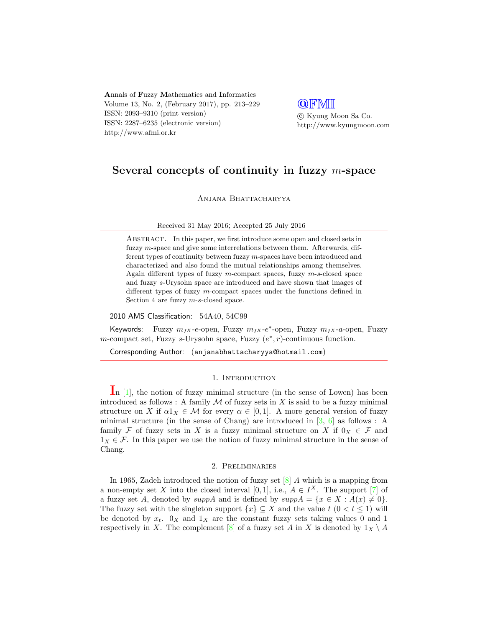Annals of Fuzzy Mathematics and Informatics Volume 13, No. 2, (February 2017), pp. 213–229 ISSN: 2093–9310 (print version) ISSN: 2287–6235 (electronic version) http://www.afmi.or.kr

**QFMI**  c Kyung Moon Sa Co. http://www.kyungmoon.com

# Several concepts of continuity in fuzzy m-space

ANJANA BHATTACHARYYA

#### Received 31 May 2016; Accepted 25 July 2016

ABSTRACT. In this paper, we first introduce some open and closed sets in fuzzy m-space and give some interrelations between them. Afterwards, different types of continuity between fuzzy m-spaces have been introduced and characterized and also found the mutual relationships among themselves. Again different types of fuzzy  $m$ -compact spaces, fuzzy  $m$ -s-closed space and fuzzy s-Urysohn space are introduced and have shown that images of different types of fuzzy m-compact spaces under the functions defined in Section 4 are fuzzy  $m$ -s-closed space.

2010 AMS Classification: 54A40, 54C99

Keywords: Fuzzy  $m_Ix$ -e-open, Fuzzy  $m_Ix$ -e\*-open, Fuzzy  $m_Ix$ -a-open, Fuzzy m-compact set, Fuzzy s-Urysohn space, Fuzzy  $(e^*, r)$ -continuous function.

Corresponding Author: (anjanabhattacharyya@hotmail.com)

#### 1. INTRODUCTION

In  $[1]$ , the notion of fuzzy minimal structure (in the sense of Lowen) has been introduced as follows : A family  $M$  of fuzzy sets in X is said to be a fuzzy minimal structure on X if  $\alpha 1_X \in \mathcal{M}$  for every  $\alpha \in [0,1]$ . A more general version of fuzzy minimal structure (in the sense of Chang) are introduced in [\[3,](#page-15-1) [6\]](#page-16-0) as follows : A family F of fuzzy sets in X is a fuzzy minimal structure on X if  $0_X \in \mathcal{F}$  and  $1_X \in \mathcal{F}$ . In this paper we use the notion of fuzzy minimal structure in the sense of Chang.

#### 2. Preliminaries

In 1965, Zadeh introduced the notion of fuzzy set  $[8]$  A which is a mapping from a non-empty set X into the closed interval [0,1], i.e.,  $A \in I^X$ . The support [\[7\]](#page-16-2) of a fuzzy set A, denoted by  $suppA$  and is defined by  $suppA = \{x \in X : A(x) \neq 0\}.$ The fuzzy set with the singleton support  $\{x\} \subseteq X$  and the value  $t$   $(0 < t \leq 1)$  will be denoted by  $x_t$ .  $0_x$  and  $1_x$  are the constant fuzzy sets taking values 0 and 1 respectively in X. The complement [\[8\]](#page-16-1) of a fuzzy set A in X is denoted by  $1_X \setminus A$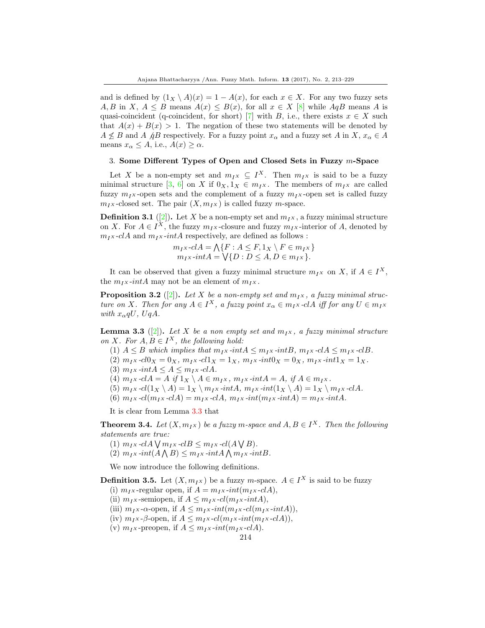and is defined by  $(1_X \setminus A)(x) = 1 - A(x)$ , for each  $x \in X$ . For any two fuzzy sets A, B in X,  $A \leq B$  means  $A(x) \leq B(x)$ , for all  $x \in X$  [\[8\]](#page-16-1) while AqB means A is quasi-coincident (q-coincident, for short) [\[7\]](#page-16-2) with B, i.e., there exists  $x \in X$  such that  $A(x) + B(x) > 1$ . The negation of these two statements will be denoted by  $A \nleq B$  and A  $\beta$  respectively. For a fuzzy point  $x_{\alpha}$  and a fuzzy set A in X,  $x_{\alpha} \in A$ means  $x_{\alpha} \leq A$ , i.e.,  $A(x) \geq \alpha$ .

### 3. Some Different Types of Open and Closed Sets in Fuzzy m-Space

Let X be a non-empty set and  $m_I x \subseteq I^X$ . Then  $m_I x$  is said to be a fuzzy minimal structure [\[3,](#page-15-1) [6\]](#page-16-0) on X if  $0_X, 1_X \in m_I$ . The members of  $m_I$ <sub>X</sub> are called fuzzy  $m_{IX}$ -open sets and the complement of a fuzzy  $m_{IX}$ -open set is called fuzzy  $m_{I}$ x-closed set. The pair  $(X, m_{I}X)$  is called fuzzy *m*-space.

**Definition 3.1** ([\[2\]](#page-15-2)). Let X be a non-empty set and  $m_Ix$ , a fuzzy minimal structure on X. For  $A \in I^X$ , the fuzzy  $m_I x$ -closure and fuzzy  $m_I x$ -interior of A, denoted by  $m_{IX}$ -clA and  $m_{IX}$ -intA respectively, are defined as follows :

$$
m_{I}x\text{-}clA = \bigwedge\{F : A \leq F, 1_X \setminus F \in m_{I}x\}
$$
  

$$
m_{I}x\text{-}intA = \bigvee\{D : D \leq A, D \in m_{I}x\}.
$$

It can be observed that given a fuzzy minimal structure  $m_I x$  on X, if  $A \in I^X$ , the  $m_I x$ -intA may not be an element of  $m_I x$ .

**Proposition 3.2** ([\[2\]](#page-15-2)). Let X be a non-empty set and  $m_Ix$ , a fuzzy minimal structure on X. Then for any  $A \in I^X$ , a fuzzy point  $x_\alpha \in m_I x$ -clA iff for any  $U \in m_I x$ with  $x_{\alpha}qU$ ,  $UqA$ .

<span id="page-1-0"></span>**Lemma 3.3** ([\[2\]](#page-15-2)). Let X be a non empty set and  $m_Ix$ , a fuzzy minimal structure on X. For  $A, B \in I^X$ , the following hold:

- (1)  $A \leq B$  which implies that  $m_I x$ -int $A \leq m_I x$ -int $B$ ,  $m_I x$ -cl $A \leq m_I x$ -cl $B$ .
- (2)  $m_{IX} cl0_X = 0_X$ ,  $m_{IX} cl1_X = 1_X$ ,  $m_{IX} int0_X = 0_X$ ,  $m_{IX} int1_X = 1_X$ .
- (3)  $m_I x \text{-} int A \leq A \leq m_I x \text{-} c I A$ .
- (4)  $m_I x \text{--} c l A = A \text{ if } 1_X \setminus A \in m_I x \text{ , } m_I x \text{--} int A = A \text{, if } A \in m_I x \text{ .}$
- (5)  $m_I x \cdot cl(1_X \setminus A) = 1_X \setminus m_I x \cdot intA, m_I x \cdot int(1_X \setminus A) = 1_X \setminus m_I x \cdot clA.$
- (6)  $m_{IX}$ -cl( $m_{IX}$ -clA) =  $m_{IX}$ -clA,  $m_{IX}$ -int( $m_{IX}$ -intA) =  $m_{IX}$ -intA.

It is clear from Lemma [3.3](#page-1-0) that

**Theorem 3.4.** Let  $(X, m_Ix)$  be a fuzzy m-space and  $A, B \in I^X$ . Then the following statements are true:

- (1)  $m_{I}x$ -clA $\bigvee m_{I}x$ -clB $\leq m_{I}x$ -cl(A $\bigvee B$ ).
- (2)  $m_{I}x\text{-}int(A\bigwedge B)\leq m_{I}x\text{-}intA\bigwedge m_{I}x\text{-}intB.$

We now introduce the following definitions.

**Definition 3.5.** Let  $(X, m_I_X)$  be a fuzzy *m*-space.  $A \in I^X$  is said to be fuzzy

- (i)  $m_I x$ -regular open, if  $A = m_I x$ -int $(m_I x$ -clA),
- (ii)  $m_Ix$ -semiopen, if  $A \leq m_Ix$ -cl( $m_Ix$ -intA),
- (iii)  $m_I x$ - $\alpha$ -open, if  $A \leq m_I x$ - $int(m_I x$ - $cl(m_I x \text{-} int A)),$
- (iv)  $m_I x$ - $\beta$ -open, if  $A \leq m_I x$ - $cl(m_I x$ - $int(m_I x$ - $clA)$ ),
- (v)  $m_I x$ -preopen, if  $A \leq m_I x$ -int $(m_I x$ -clA).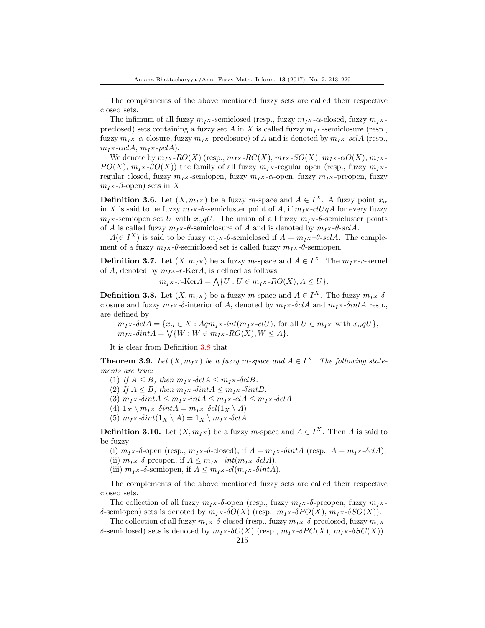The complements of the above mentioned fuzzy sets are called their respective closed sets.

The infimum of all fuzzy  $m_{IX}$ -semiclosed (resp., fuzzy  $m_{IX}$ - $\alpha$ -closed, fuzzy  $m_{IX}$ preclosed) sets containing a fuzzy set A in X is called fuzzy  $m_I x$ -semiclosure (resp., fuzzy  $m_I x$ - $\alpha$ -closure, fuzzy  $m_I x$ -preclosure) of A and is denoted by  $m_I x$ -sclA (resp.,  $m_I x$ - $\alpha c I A$ ,  $m_I x$ - $\beta c I A$ ).

We denote by  $m_{I}x$ - $RO(X)$  (resp.,  $m_{I}x$ - $RC(X)$ ,  $m_{I}x$ - $SO(X)$ ,  $m_{I}x$ - $\alpha O(X)$ ,  $m_{I}x$ - $PO(X)$ ,  $m_{IX}$ - $\beta O(X)$ ) the family of all fuzzy  $m_{IX}$ -regular open (resp., fuzzy  $m_{IX}$ regular closed, fuzzy  $m_I$ x-semiopen, fuzzy  $m_I$ x- $\alpha$ -open, fuzzy  $m_I$ x-preopen, fuzzy  $m_I x$ -β-open) sets in X.

**Definition 3.6.** Let  $(X, m_I_X)$  be a fuzzy m-space and  $A \in I^X$ . A fuzzy point  $x_\alpha$ in X is said to be fuzzy  $m_I x$ -θ-semicluster point of A, if  $m_I x$ -clUqA for every fuzzy  $m_{IX}$ -semiopen set U with  $x_{\alpha}qU$ . The union of all fuzzy  $m_{IX}$ -θ-semicluster points of A is called fuzzy  $m_{IX}$   $\theta$ -semiclosure of A and is denoted by  $m_{IX}$   $\theta$ -sclA.

 $A(\in I^X)$  is said to be fuzzy  $m_I \times \theta$ -semiclosed if  $A = m_I \times \theta$ -scl $A$ . The complement of a fuzzy  $m_I x$ -θ-semiclosed set is called fuzzy  $m_I x$ -θ-semiopen.

**Definition 3.7.** Let  $(X, m_Ix)$  be a fuzzy m-space and  $A \in I^X$ . The  $m_Ix$ -r-kernel of A, denoted by  $m_I x$ -r-KerA, is defined as follows:

$$
m_{I^X} - r\text{-Ker}A = \bigwedge \{ U : U \in m_{I^X} \text{-}RO(X), A \le U \}.
$$

<span id="page-2-0"></span>**Definition 3.8.** Let  $(X, m_Ix)$  be a fuzzy m-space and  $A \in I^X$ . The fuzzy  $m_Ix$ - $\delta$ closure and fuzzy  $m_Ix$ -δ-interior of A, denoted by  $m_Ix$ -δclA and  $m_Ix$ -δintA resp., are defined by

 $m_{IX}$ -δcl $A = \{x_{\alpha} \in X : Aqm_{IX}$ -int $(m_{IX}$ -clU), for all  $U \in m_{IX}$  with  $x_{\alpha}qU$ },  $m_{I}x\text{-}\delta int A = \bigvee \{W : W \in m_{I}x\text{-}RO(X), W \leq A\}.$ 

It is clear from Definition [3.8](#page-2-0) that

**Theorem 3.9.** Let  $(X, m_Ix)$  be a fuzzy m-space and  $A \in I^X$ . The following statements are true:

(1) If  $A \leq B$ , then  $m_I x$ -δcl $A \leq m_I x$ -δcl $B$ .

(2) If  $A \leq B$ , then  $m_I x$ -δint $A \leq m_I x$ -δint $B$ .

(3)  $m_{I}x$ -δint $A \leq m_{I}x$ -int $A \leq m_{I}x$ -cl $A \leq m_{I}x$ -δcl $A$ 

(4)  $1_X \setminus m_I$ x -δint $A = m_I$ x -δcl $(1_X \setminus A)$ .

(5)  $m_I x \text{-} \delta int(1_X \setminus A) = 1_X \setminus m_I x \text{-} \delta c I A$ .

**Definition 3.10.** Let  $(X, m_I_X)$  be a fuzzy m-space and  $A \in I^X$ . Then A is said to be fuzzy

(i)  $m_Ix-\delta$ -open (resp.,  $m_Ix-\delta$ -closed), if  $A=m_Ix-\delta intA$  (resp.,  $A=m_Ix-\delta c dA$ ),

(ii)  $m_I x$ -δ-preopen, if  $A \leq m_I x$ -  $int(m_I x$ -δclA),

(iii)  $m_Ix$ -δ-semiopen, if  $A \leq m_Ix$ -cl( $m_Ix$ -δintA).

The complements of the above mentioned fuzzy sets are called their respective closed sets.

The collection of all fuzzy  $m_{IX}$ -δ-open (resp., fuzzy  $m_{IX}$ -δ-preopen, fuzzy  $m_{IX}$ δ-semiopen) sets is denoted by  $m_I x \cdot \delta O(X)$  (resp.,  $m_I x \cdot \delta PO(X)$ ,  $m_I x \cdot \delta SO(X)$ ).

The collection of all fuzzy  $m_I x$ -δ-closed (resp., fuzzy  $m_I x$ -δ-preclosed, fuzzy  $m_I x$ δ-semiclosed) sets is denoted by  $m_{IX}$ -δ $C(X)$  (resp.,  $m_{IX}$ -δ $PC(X)$ ,  $m_{IX}$ -δ $SC(X)$ ).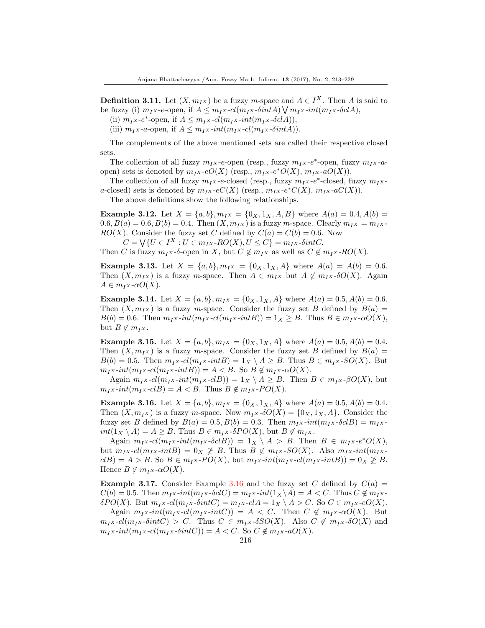**Definition 3.11.** Let  $(X, m_I_X)$  be a fuzzy m-space and  $A \in I^X$ . Then A is said to be fuzzy (i)  $m_I x$ -e-open, if  $A \leq m_I x$ - $cl(m_I x$ - $\delta int A) \bigvee m_I x$ - $int(m_I x$ - $\delta cl A)$ ,

(ii)  $m_I x$ -e<sup>\*</sup>-open, if  $A \leq m_I x$ - $cl(m_I x$ - $int(m_I x$ - $\delta cl A$ )),

(iii)  $m_Ix$ -a-open, if  $A \leq m_Ix$ -int $(m_Ix$ -cl $(m_Ix$ -δint $A)$ ).

The complements of the above mentioned sets are called their respective closed sets.

The collection of all fuzzy  $m_I x$ -e-open (resp., fuzzy  $m_I x$ -e<sup>\*</sup>-open, fuzzy  $m_I x$ -aopen) sets is denoted by  $m_Ix \cdot eO(X)$  (resp.,  $m_Ix \cdot e^*O(X)$ ,  $m_Ix \cdot aO(X)$ ).

The collection of all fuzzy  $m_I x$ -e-closed (resp., fuzzy  $m_I x$ -e<sup>\*</sup>-closed, fuzzy  $m_I x$ a-closed) sets is denoted by  $m_I x \cdot eC(X)$  (resp.,  $m_I x \cdot e^* C(X)$ ,  $m_I x \cdot aC(X)$ ).

The above definitions show the following relationships.

<span id="page-3-1"></span>**Example 3.12.** Let  $X = \{a, b\}$ ,  $m_{I}x = \{0_X, 1_X, A, B\}$  where  $A(a) = 0.4$ ,  $A(b) =$  $0.6, B(a) = 0.6, B(b) = 0.4.$  Then  $(X, m<sub>I</sub> X)$  is a fuzzy m-space. Clearly  $m<sub>I</sub> X = m<sub>I</sub> X$ - $RO(X)$ . Consider the fuzzy set C defined by  $C(a) = C(b) = 0.6$ . Now

 $C = \bigvee \{U \in I^X : U \in m_I x \text{-} RO(X), U \leq C\} = m_I x \text{-} \delta int C.$ 

Then C is fuzzy  $m_Ix$ -δ-open in X, but  $C \notin m_Ix$  as well as  $C \notin m_Ix$ -RO(X).

**Example 3.13.** Let  $X = \{a, b\}$ ,  $m_{IX} = \{0_X, 1_X, A\}$  where  $A(a) = A(b) = 0.6$ . Then  $(X, m_{IX})$  is a fuzzy m-space. Then  $A \in m_{IX}$  but  $A \notin m_{IX}$ - $\delta O(X)$ . Again  $A \in m_I x$ - $\alpha O(X)$ .

**Example 3.14.** Let  $X = \{a, b\}$ ,  $m_{I}x = \{0_X, 1_X, A\}$  where  $A(a) = 0.5$ ,  $A(b) = 0.6$ . Then  $(X, m<sub>I</sub> X)$  is a fuzzy m-space. Consider the fuzzy set B defined by  $B(a) =$  $B(b) = 0.6$ . Then  $m_I x$ -int $(m_I x$ -cl $(m_I x$ -int $B) = 1_X \ge B$ . Thus  $B \in m_I x$ - $\alpha O(X)$ , but  $B \notin m_I x$ .

**Example 3.15.** Let  $X = \{a, b\}$ ,  $m_{IX} = \{0_X, 1_X, A\}$  where  $A(a) = 0.5, A(b) = 0.4$ . Then  $(X, m<sub>IX</sub>)$  is a fuzzy m-space. Consider the fuzzy set B defined by  $B(a) =$  $B(b) = 0.5$ . Then  $m_I x$ - $cl(m_I x$ - $int B) = 1_X \setminus A \geq B$ . Thus  $B \in m_I x$ - $SO(X)$ . But  $m_{IX}$ -int $(m_{IX}$ -cl $(m_{IX}$ -intB $)) = A < B$ . So  $B \notin m_{IX}$ - $\alpha O(X)$ .

Again  $m_Ix$ -cl( $m_Ix$ -int( $m_Ix$ -clB)) = 1 $_X \setminus A \geq B$ . Then  $B \in m_Ix$ - $\beta O(X)$ , but  $m_{IX}$ -int $(m_{IX}$ -clB $) = A < B$ . Thus  $B \notin m_{IX}$ -PO $(X)$ .

<span id="page-3-0"></span>**Example 3.16.** Let  $X = \{a, b\}$ ,  $m_{I}x = \{0_X, 1_X, A\}$  where  $A(a) = 0.5$ ,  $A(b) = 0.4$ . Then  $(X, m_Ix)$  is a fuzzy m-space. Now  $m_Ix \cdot \delta O(X) = \{0_X, 1_X, A\}$ . Consider the fuzzy set B defined by  $B(a) = 0.5$ ,  $B(b) = 0.3$ . Then  $m_{IX}$ -int $(m_{IX}$ -δcl $B) = m_{IX}$  $int(1_X \setminus A) = A \geq B$ . Thus  $B \in m_I x$ - $\delta PO(X)$ , but  $B \notin m_I x$ .

Again  $m_{I}x$ - $cl(m_{I}x$ - $int(m_{I}x$ - $\delta clB)$ ) = 1 $_X \setminus A > B$ . Then  $B \in m_{I}x$ - $e^*O(X)$ , but  $m_Ix$ -cl( $m_Ix$ -intB) = 0 $_X \not\geq B$ . Thus  $B \not\in m_Ix$ -SO(X). Also  $m_Ix$ -int( $m_Ix$  $clB = A > B$ . So  $B \in m_I x$ - $PO(X)$ , but  $m_I x$ - $int(m_I x$ - $cl(m_I x \text{-} int B)) = 0$ <sub>X</sub>  $\geq B$ . Hence  $B \notin m_I x$ - $\alpha O(X)$ .

**Example 3.17.** Consider Example [3.16](#page-3-0) and the fuzzy set C defined by  $C(a)$  =  $C(b) = 0.5$ . Then  $m_I x$ -int $(m_I x - \delta c l C) = m_I x$ -int $(1_X \setminus A) = A \lt C$ . Thus  $C \notin m_I x$ - $\delta PO(X)$ . But  $m_Ix$ -cl( $m_Ix$ - $\delta intC$ ) =  $m_Ix$ -clA =  $1_X \setminus A > C$ . So  $C \in m_Ix$ -e $O(X)$ .

Again  $m_{I}x\text{-}int(m_{I}x\text{-}el(m_{I}x\text{-}intC)) = A < C$ . Then  $C \notin m_{I}x\text{-}\alpha O(X)$ . But  $m_{I}x$ -cl( $m_{I}x$ -δint $C$ ) > C. Thus  $C \in m_{I}x$ -δSO(X). Also  $C \notin m_{I}x$ -δO(X) and  $m_{IX}$ -int $(m_{IX}$ -cl $(m_{IX}$ -δintC)) = A < C. So C  $\notin m_{IX}$ -aO(X).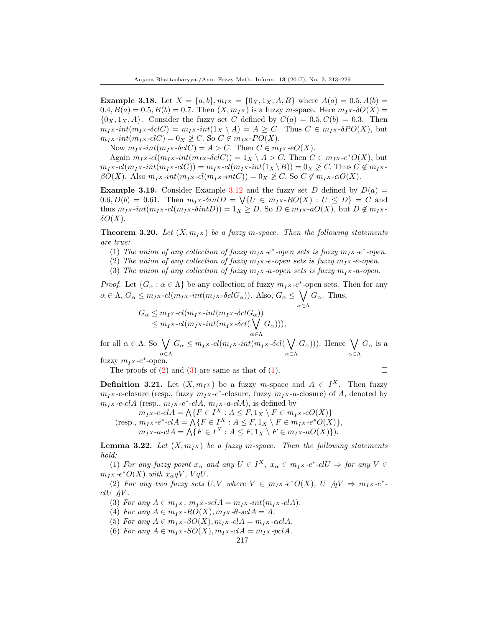**Example 3.18.** Let  $X = \{a, b\}$ ,  $m_{IX} = \{0_X, 1_X, A, B\}$  where  $A(a) = 0.5, A(b) =$  $0.4, B(a) = 0.5, B(b) = 0.7.$  Then  $(X, m<sub>I</sub> x)$  is a fuzzy m-space. Here  $m<sub>I</sub> x \cdot \delta O(X) =$  $\{0_X, 1_X, A\}$ . Consider the fuzzy set C defined by  $C(a) = 0.5, C(b) = 0.3$ . Then  $m_{IX}$ -int $(m_{IX}$ -δclC) =  $m_{IX}$ -int $(1_X \setminus A) = A \ge C$ . Thus  $C \in m_{IX}$ -δPO(X), but  $m_{I}x\text{-}int(m_{I}x\text{-}cIC) = 0_X \not\geq C$ . So  $C \not\in m_{I}x\text{-}PO(X)$ .

Now  $m_I x$ -int $(m_I x$ -δclC) = A > C. Then  $C \in m_I x$ -eO(X).

Again  $m_Ix\text{-}cl(m_Ix\text{-}int(m_Ix\text{-}\delta cl C)) = 1_X \setminus A > C$ . Then  $C \in m_Ix\text{-}e^*O(X)$ , but  $m_{I}x$ -cl( $m_{I}x$ -int( $m_{I}x$ -clC)) =  $m_{I}x$ -cl( $m_{I}x$ -int( $1_X \setminus B$ )) =  $0_X \not\ge C$ . Thus  $C \not\in m_{I}x$ - $\beta O(X)$ . Also  $m_{I X}$ -int $(m_{I X}$ -cl $(m_{I X}$ -int $C)$ ) = 0<sub>X</sub>  $\geq C$ . So  $C \notin m_{I X}$ - $\alpha O(X)$ .

**Example 3.19.** Consider Example [3.12](#page-3-1) and the fuzzy set D defined by  $D(a)$  =  $(0.6, D(b) = 0.61$ . Then  $m<sub>I</sub>x$ - $\delta intD = \bigvee \{U \in m<sub>I</sub>x$ - $RO(X) : U \leq D\} = C$  and thus  $m_Ix\text{-}int(m_Ix\text{-}\delta intD)) = 1_X \geq D$ . So  $D \in m_Ix\text{-}aO(X)$ , but  $D \notin m_Ix$  $\delta O(X)$ .

**Theorem 3.20.** Let  $(X, m_{IX})$  be a fuzzy m-space. Then the following statements are true:

- (1) The union of any collection of fuzzy  $m_I x$ -e<sup>\*</sup>-open sets is fuzzy  $m_I x$ -e<sup>\*</sup>-open.
- (2) The union of any collection of fuzzy  $m_I x$ -e-open sets is fuzzy  $m_I x$ -e-open.
- (3) The union of any collection of fuzzy  $m_I x$ -a-open sets is fuzzy  $m_I x$ -a-open.

*Proof.* Let  $\{G_\alpha : \alpha \in \Lambda\}$  be any collection of fuzzy  $m_I x - e^*$ -open sets. Then for any  $\alpha \in \Lambda$ ,  $G_{\alpha} \leq m_{I}x$ - $cl(m_{I}x$ - $int(m_{I}x \text{-} \delta cl G_{\alpha})$ ). Also,  $G_{\alpha} \leq \bigvee$  $G_{\alpha}$ . Thus,

$$
G_{\alpha} \leq m_{I}x \cdot cl(m_{I}x \cdot int(m_{I}x \cdot \delta clG_{\alpha}))
$$
  
\n
$$
\leq m_{I}x \cdot cl(m_{I}x \cdot int(m_{I}x \cdot \delta cl(\bigvee_{\alpha \in \Lambda} G_{\alpha}))),
$$

for all  $\alpha \in \Lambda$ . So  $\bigvee$ α∈Λ  $G_{\alpha} \leq m_{I^X}$ -cl( $m_{I^X}$ -int( $m_{I^X}$ -δcl( $\bigvee$ α∈Λ  $(G_{\alpha}))$ ). Hence  $\bigvee$ α∈Λ  $G_{\alpha}$  is a

fuzzy  $m_I x-e^*$ -open.

The proofs of  $(2)$  and  $(3)$  are same as that of  $(1)$ .

$$
\Box
$$

**Definition 3.21.** Let  $(X, m_Ix)$  be a fuzzy m-space and  $A \in I^X$ . Then fuzzy  $m_I x$ -e-closure (resp., fuzzy  $m_I x$ -e<sup>\*</sup>-closure, fuzzy  $m_I x$ -a-closure) of A, denoted by  $m_Ix\text{-}e\text{-}cIA$  (resp.,  $m_Ix\text{-}e\text{*}-cIA$ ,  $m_Ix\text{-}a\text{-}cIA$ ), is defined by

 $m_Ix\text{-}e\text{-}cIA = \bigwedge \{F \in I^X : A \leq F, 1_X \setminus F \in m_Ix\text{-}eO(X)\}$ (resp.,  $m_I x - e^* - cI A = \bigwedge \{ F \in I^X : A \leq F, 1_X \setminus F \in m_I x - e^* O(X) \},\$  $m_I x$ -a-cl $A = \bigwedge \{ F \in I^X : A \leq F, 1_X \setminus F \in m_I x$ -a $O(X) \}$ .

<span id="page-4-0"></span>**Lemma 3.22.** Let  $(X, m_I_X)$  be a fuzzy m-space. Then the following statements hold:

(1) For any fuzzy point  $x_{\alpha}$  and any  $U \in I^X$ ,  $x_{\alpha} \in m_I x$ -e<sup>\*</sup>-cl $U \Rightarrow$  for any  $V \in$  $m_{I}x$ -e<sup>\*</sup> $O(X)$  with  $x_{\alpha}qV$ ,  $VqU$ .

(2) For any two fuzzy sets U, V where  $V \in m_I x \cdot e^* O(X)$ , U  $/qV \Rightarrow m_I x \cdot e^*$ .  $clU/dV$ .

(3) For any  $A \in m_I x$ ,  $m_I x$ -scl $A = m_I x$ -int $(m_I x$ -cl $A)$ .

(4) For any  $A \in m_I x$  -RO(X),  $m_I x$  - $\theta$ -scl $A = A$ .

- (5) For any  $A \in m_I x \cdot \beta O(X), m_I x \cdot cI A = m_I x \cdot \alpha cI A$ .
- (6) For any  $A \in m_I x$  -SO(X),  $m_I x$  -clA =  $m_I x$  -pclA.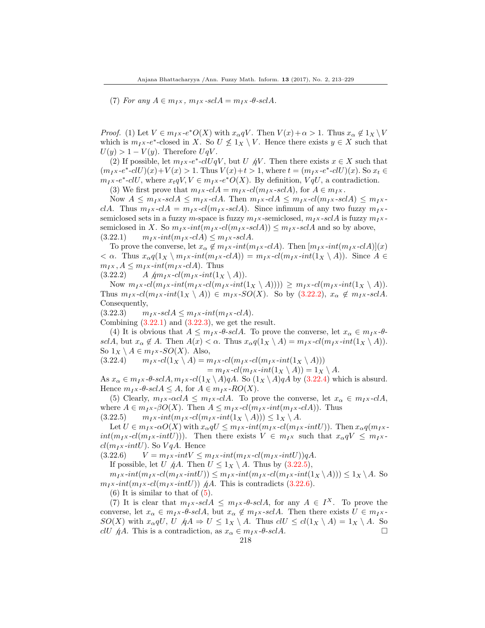(7) For any  $A \in m_I x$ ,  $m_I x$ -scl $A = m_I x$ -θ-scl $A$ .

*Proof.* (1) Let  $V \in m_I x \cdot e^* O(X)$  with  $x_\alpha qV$ . Then  $V(x) + \alpha > 1$ . Thus  $x_\alpha \notin 1_X \setminus V$ which is  $m_I x - e^*$ -closed in X. So  $U \nleq 1_X \setminus V$ . Hence there exists  $y \in X$  such that  $U(y) > 1 - V(y)$ . Therefore  $UqV$ .

(2) If possible, let  $m_I x$ -e<sup>\*</sup>-clUqV, but U  $\oint V$ . Then there exists  $x \in X$  such that  $(m_Ix-e^*-clU)(x)+V(x) > 1$ . Thus  $V(x)+t > 1$ , where  $t = (m_Ix-e^*-clU)(x)$ . So  $x_t \in$  $m_I x$ -e<sup>\*</sup>-clU, where  $x_t qV$ ,  $V \in m_I x$ -e<sup>\*</sup>O(X). By definition,  $V qU$ , a contradiction.

(3) We first prove that  $m_Ix$ -cl $A = m_Ix$ -cl $(m_Ix$ -scl $A)$ , for  $A \in m_Ix$ .

Now  $A \leq m_I x$ -scl $A \leq m_I x$ -cl $A$ . Then  $m_I x$ -cl $A \leq m_I x$ -cl $(m_I x$ -scl $A) \leq m_I x$ clA. Thus  $m_I x$ -clA =  $m_I x$ -cl( $m_I x$ -sclA). Since infimum of any two fuzzy  $m_I x$ semiclosed sets in a fuzzy m-space is fuzzy  $m_Ix$ -semiclosed,  $m_Ix$ -sclA is fuzzy  $m_Ix$ semiclosed in X. So  $m_{IX}$ -int $(m_{IX}$ -cl $(m_{IX}$ -scl $A)$ )  $\leq m_{IX}$ -scl $A$  and so by above,  $(3.22.1)$   $m_I x\text{-}int(m_I x\text{-}cI) \leq m_I x\text{-}sclA.$ 

To prove the converse, let  $x_{\alpha} \notin m_{I}x$ -int $(m_{I}x$ -clA). Then  $[m_{I}x$ -int $(m_{I}x$ -clA $)](x)$  $< \alpha$ . Thus  $x_{\alpha}q(1_X \setminus m_{I}x-int(m_{I}x-clA)) = m_{I}x-cl(m_{I}x-int(1_X \setminus A))$ . Since  $A \in$  $m_{I}x$ ,  $A \leq m_{I}x$ -int $(m_{I}x$ -cl $A)$ . Thus

 $(3.22.2)$  A  $\text{Am}_I x \text{-}cl(m_I x \text{-}int(1_X \setminus A)).$ 

Now  $m_{I}x$ -cl( $m_{I}x$ -int( $m_{I}x$ -cl( $m_{I}x$ -int( $1_X \setminus A$ ))))  $\geq m_{I}x$ -cl( $m_{I}x$ -int( $1_X \setminus A$ )). Thus  $m_I x$ -cl( $m_I x$ -int(1 $\chi \setminus A$ ))  $\in m_I x$ -SO(X). So by (3.22.2),  $x_\alpha \notin m_I x$ -sclA. Consequently,

 $(3.22.3)$   $m_Ix$ -scl $A \leq m_Ix$ -int $(m_Ix$ -cl $A)$ .

Combining  $(3.22.1)$  and  $(3.22.3)$ , we get the result.

(4) It is obvious that  $A \leq m_{I}x \cdot \theta \cdot \text{ }solA$ . To prove the converse, let  $x_{\alpha} \in m_{I}x \cdot \theta \cdot$ sclA, but  $x_{\alpha} \notin A$ . Then  $A(x) < \alpha$ . Thus  $x_{\alpha}q(1_X \setminus A) = m_I x \cdot cl(m_I x \cdot int(1_X \setminus A)).$ So  $1_X \setminus A \in m_I \times SO(X)$ . Also,

 $(3.22.4)$   $m_I x \text{-} cl(1_X \setminus A) = m_I x \text{-} cl(m_I x \text{-} cl(m_I x \text{-} int(1_X \setminus A)))$ 

 $= m_I x \cdot cl(m_I x \cdot int(1_X \setminus A)) = 1_X \setminus A.$ 

As  $x_{\alpha} \in m_I x$ - $\theta$ -sclA,  $m_I x$ -cl( $1_X \setminus A$ )qA. So  $(1_X \setminus A)$ qA by (3.22.4) which is absurd. Hence  $m_I x$ -θ-scl $A \leq A$ , for  $A \in m_I x$ -RO $(X)$ .

(5) Clearly,  $m_{IX}$ - $\alpha c\lambda \leq m_{IX}$ - $c\lambda$ . To prove the converse, let  $x_{\alpha} \in m_{IX}$ - $c\lambda$ , where  $A \in m_I x$ - $\beta O(X)$ . Then  $A \leq m_I x$ - $cl(m_I x$ - $int(m_I x$ - $clA)$ ). Thus (3.22.5)  $m_I x\text{-}int(m_I x\text{-}cl(m_I x\text{-}int(1_X \setminus A))) \leq 1_X \setminus A.$ 

Let  $U \in m_I x \cdot \alpha O(X)$  with  $x_\alpha qU \leq m_I x \cdot int(m_I x \cdot cl(m_I x \cdot intU))$ . Then  $x_\alpha q(m_I x \cdot t)$  $int(m_{I}x\text{-}cl(m_{I}x\text{-}intU))$ . Then there exists  $V \in m_{I}x$  such that  $x_{\alpha}qV \leq m_{I}x$  $cl(m_{IX}-intU)$ . So  $VqA$ . Hence

 $(3.22.6)$   $V = m_I x \cdot int V \leq m_I x \cdot int(m_I x \cdot cl(m_I x \cdot int U)) qA.$ 

If possible, let U  $\oint A$ . Then  $U \leq 1_X \setminus A$ . Thus by  $(3.22.5)$ ,

 $m_{I}x\text{-}int(m_{I}x\text{-}cl(m_{I}x\text{-}intU)) \leq m_{I}x\text{-}int(m_{I}x\text{-}cl(m_{I}x\text{-}int(1_X \setminus A))) \leq 1_X \setminus A.$  So  $m_{I}x\text{-}int(m_{I}x\text{-}cl(m_{I}x\text{-}intU))$   $\oint A$ . This is contradicts (3.22.6).

 $(6)$  It is similar to that of  $(5)$ .

(7) It is clear that  $m_I x$ -scl $A \leq m_I x$ -θ-scl $A$ , for any  $A \in I^X$ . To prove the converse, let  $x_\alpha \in m_I x$ - $\theta$ -sclA, but  $x_\alpha \notin m_I x$ -sclA. Then there exists  $U \in m_I x$ - $SO(X)$  with  $x_{\alpha}qU$ ,  $U \not\!{q}A \Rightarrow U \leq 1_X \setminus A$ . Thus  $clU \leq cl(1_X \setminus A) = 1_X \setminus A$ . So clU  $\oint A$ . This is a contradiction, as  $x_\alpha \in m_I x$ - $\theta$ -sclA.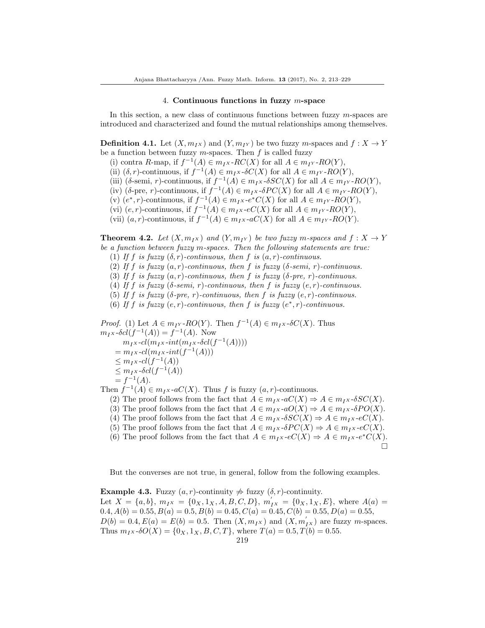#### 4. Continuous functions in fuzzy m-space

In this section, a new class of continuous functions between fuzzy m-spaces are introduced and characterized and found the mutual relationships among themselves.

**Definition 4.1.** Let  $(X, m_I_X)$  and  $(Y, m_{I_Y})$  be two fuzzy m-spaces and  $f : X \to Y$ be a function between fuzzy  $m$ -spaces. Then  $f$  is called fuzzy

(i) contra R-map, if  $f^{-1}(A) \in m_I x$ -RC(X) for all  $A \in m_{I} x$ -RO(Y),

(ii)  $(\delta, r)$ -continuous, if  $f^{-1}(A) \in m_I x$ - $\delta C(X)$  for all  $A \in m_I y$ - $RO(Y)$ ,

(iii) ( $\delta$ -semi, r)-continuous, if  $f^{-1}(A) \in m_I x$ - $\delta SC(X)$  for all  $A \in m_{I'}$ - $RO(Y)$ ,

(iv) (δ-pre, r)-continuous, if  $f^{-1}(A) \in m_I x$ -δ $PC(X)$  for all  $A \in m_I y$ -RO(Y),

(v)  $(e^*, r)$ -continuous, if  $f^{-1}(A) \in m_I x \cdot e^* C(X)$  for all  $A \in m_I y \cdot RO(Y)$ ,

(vi)  $(e, r)$ -continuous, if  $f^{-1}(A) \in m_I x$ - $eC(X)$  for all  $A \in m_I x$ - $RO(Y)$ ,

(vii)  $(a, r)$ -continuous, if  $f^{-1}(A) \in m<sub>I</sub> x - aC(X)$  for all  $A \in m<sub>I</sub> y - RO(Y)$ .

**Theorem 4.2.** Let  $(X, m_{IX})$  and  $(Y, m_{IY})$  be two fuzzy m-spaces and  $f: X \to Y$ be a function between fuzzy m-spaces. Then the following statements are true:

(1) If f is fuzzy  $(\delta, r)$ -continuous, then f is  $(a, r)$ -continuous.

(2) If f is fuzzy  $(a, r)$ -continuous, then f is fuzzy ( $\delta$ -semi, r)-continuous.

(3) If f is fuzzy  $(a, r)$ -continuous, then f is fuzzy (δ-pre, r)-continuous.

(4) If f is fuzzy ( $\delta$ -semi, r)-continuous, then f is fuzzy  $(e, r)$ -continuous.

(5) If f is fuzzy  $(\delta$ -pre, r)-continuous, then f is fuzzy  $(e, r)$ -continuous.

(6) If f is fuzzy  $(e, r)$ -continuous, then f is fuzzy  $(e^*, r)$ -continuous.

*Proof.* (1) Let  $A \in m_{I}r$ - $RO(Y)$ . Then  $f^{-1}(A) \in m_{I} \times \delta C(X)$ . Thus  $m_I x \text{-} \delta cl(f^{-1}(A)) = f^{-1}(A)$ . Now  $m_I x\text{-}cl(m_I x\text{-}int(m_I x\text{-}\delta cl(f^{-1}(A))))$  $= m_I x \text{-} cl(m_I x \text{-} int(f^{-1}(A)))$  $\leq m_I x \cdot cl(f^{-1}(A))$  $\leq m_I x \cdot \delta cl(f^{-1}(A))$  $= f^{-1}(A).$ 

Then  $f^{-1}(A) \in m_I x$ -a $C(X)$ . Thus f is fuzzy  $(a, r)$ -continuous.

(2) The proof follows from the fact that  $A \in m_I x$ - $aC(X) \Rightarrow A \in m_I x$ - $\delta SC(X)$ .

(3) The proof follows from the fact that  $A \in m_I x$ - $aO(X) \Rightarrow A \in m_I x$ - $\delta PO(X)$ .

(4) The proof follows from the fact that  $A \in m_I x$ - $\delta SC(X) \Rightarrow A \in m_I x$ - $eC(X)$ .

(5) The proof follows from the fact that  $A \in m_I x \cdot \delta PC(X) \Rightarrow A \in m_I x \cdot eC(X)$ .

(6) The proof follows from the fact that  $A \in m_I x \cdot eC(X) \Rightarrow A \in m_I x \cdot e^* C(X)$ .  $\Box$ 

But the converses are not true, in general, follow from the following examples.

Example 4.3. Fuzzy  $(a, r)$ -continuity  $\Rightarrow$  fuzzy  $(\delta, r)$ -continuity. Let  $X = \{a, b\}$ ,  $m_I x = \{0_X, 1_X, A, B, C, D\}$ ,  $m'_{IX} = \{0_X, 1_X, E\}$ , where  $A(a)$  $0.4, A(b) = 0.55, B(a) = 0.5, B(b) = 0.45, C(a) = 0.45, C(b) = 0.55, D(a) = 0.55,$  $D(b) = 0.4, E(a) = E(b) = 0.5$ . Then  $(X, m_{IX})$  and  $(X, m'_{IX})$  are fuzzy *m*-spaces. Thus  $m_I x \cdot \delta O(X) = \{0_X, 1_X, B, C, T\}$ , where  $T(a) = 0.5, T(b) = 0.55$ .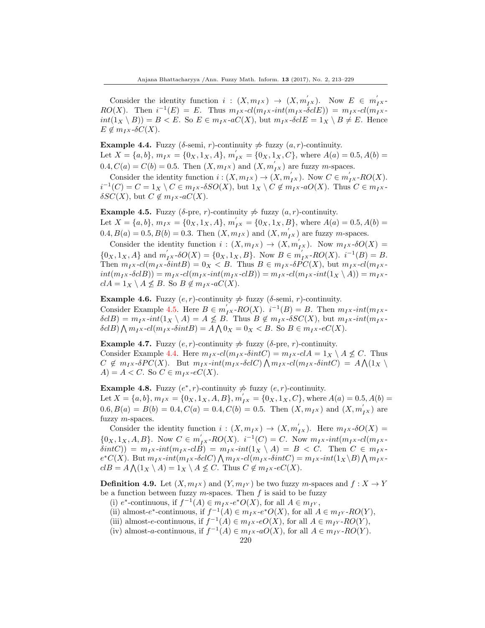Consider the identity function  $i : (X, m_I_X) \rightarrow (X, m_I^{'})$ . Now  $E \in m_I^{'}$  $RO(X)$ . Then  $i^{-1}(E) = E$ . Thus  $m_I x$ - $cl(m_I x$ - $int(m_I x \cdot \delta clE)) = m_I x$ - $cl(m_I x \cdot \delta clE)$  $int(1_X \setminus B)) = B < E$ . So  $E \in m_I x$ -aC(X), but  $m_I x$ -δcl $E = 1_X \setminus B \neq E$ . Hence  $E \notin m_I x \cdot \delta C(X).$ 

<span id="page-7-1"></span>Example 4.4. Fuzzy ( $\delta$ -semi, r)-continuity  $\neq$  fuzzy  $(a, r)$ -continuity. Let  $X = \{a, b\}, m_{IX} = \{0_X, 1_X, A\}, m'_{IX} = \{0_X, 1_X, C\},$  where  $A(a) = 0.5, A(b) =$  $0.4, C(a) = C(b) = 0.5$ . Then  $(X, m_{I^X})$  and  $(X, m'_{I^X})$  are fuzzy *m*-spaces.

Consider the identity function  $i: (X, m_{IX}) \to (X, m'_{IX})$ . Now  $C \in m'_{IX}$ -RO $(X)$ .  $i^{-1}(C) = C = 1_X \setminus C \in m_I x$ - $\delta SO(X)$ , but  $1_X \setminus C \notin m_I x$ - $aO(X)$ . Thus  $C \in m_I x$ - $\delta SC(X)$ , but  $C \notin m_I x$ -a $C(X)$ .

<span id="page-7-0"></span>Example 4.5. Fuzzy ( $\delta$ -pre, r)-continuity  $\neq$  fuzzy  $(a, r)$ -continuity. Let  $X = \{a, b\}, m_{I}x = \{0_X, 1_X, A\}, m'_{I}x = \{0_X, 1_X, B\}, \text{ where } A(a) = 0.5, A(b) =$  $0.4, B(a) = 0.5, B(b) = 0.3$ . Then  $(X, m_{IX})$  and  $(X, m'_{IX})$  are fuzzy *m*-spaces.

Consider the identity function  $i : (X, m_I x) \to (X, m_I' x)$ . Now  $m_I x \cdot \delta O(X) =$  $\{0_X, 1_X, A\}$  and  $m'_{IX}$ - $\delta O(X) = \{0_X, 1_X, B\}$ . Now  $B \in m'_{IX}$ - $RO(X)$ .  $i^{-1}(B) = B$ . Then  $m_Ix$ - $cl(m_Ix$ - $\delta intB) = 0_X < B$ . Thus  $B \in m_Ix$ - $\delta PC(X)$ , but  $m_Ix$ - $cl(m_Ix)$  $int(m_Ix-\delta c lB)) = m_Ix\cdot cl(m_Ix\cdot int(m_Ix\cdot c lB)) = m_Ix\cdot cl(m_Ix\cdot int(1_X \setminus A)) = m_Ix\cdot$  $clA = 1_X \setminus A \not\leq B$ . So  $B \not\in m_I x$ -a $C(X)$ .

Example 4.6. Fuzzy  $(e, r)$ -continuity  $\neq$  fuzzy ( $\delta$ -semi,  $r$ )-continuity. Consider Example [4.5.](#page-7-0) Here  $B \in m'_{IX}$ - $RO(X)$ .  $i^{-1}(B) = B$ . Then  $m_{IX}$ - $int(m_{IX}$ - $\delta c(B) = m_I x \cdot int(1_X \setminus A) = A \not\leq B$ . Thus  $B \not\in m_I x \cdot \delta SC(X)$ , but  $m_I x \cdot int(m_I x \cdot \delta S)$  $\delta clB$ )  $\bigwedge m_{I}x$ - $cl(m_{I}x$ - $\delta intB) = A \bigwedge 0_X = 0_X < B$ . So  $B \in m_{I}x$ - $eC(X)$ .

Example 4.7. Fuzzy  $(e, r)$ -continuity  $\neq$  fuzzy ( $\delta$ -pre,  $r$ )-continuity. Consider Example [4.4.](#page-7-1) Here  $m_I x$ -cl( $m_I x$ -δintC) =  $m_I x$ -clA =  $1_X \setminus A \not\le C$ . Thus  $C \notin m_I x \cdot \delta PC(X)$ . But  $m_I x \cdot int(m_I x \cdot \delta cl C) \bigwedge m_I x \cdot cl(m_I x \cdot \delta int C) = A \bigwedge (1_X \setminus$  $A$ ) =  $A < C$ . So  $C \in m_I x \cdot eC(X)$ .

**Example 4.8.** Fuzzy  $(e^*, r)$ -continuity  $\neq$  fuzzy  $(e, r)$ -continuity. Let  $X = \{a, b\}, m_{I}x = \{0_X, 1_X, A, B\}, m'_{I}x = \{0_X, 1_X, C\}, \text{where } A(a) = 0.5, A(b) =$  $0.6, B(a) = B(b) = 0.4, C(a) = 0.4, C(b) = 0.5.$  Then  $(X, m_{IX})$  and  $(X, m'_{IX})$  are fuzzy m-spaces.

Consider the identity function  $i : (X, m_{IX}) \to (X, m'_{IX})$ . Here  $m_{IX}$ - $\delta O(X) =$  ${0_X, 1_X, A, B}$ . Now  $C \in m'_{IX}$ - $RO(X)$ .  $i^{-1}(C) = C$ . Now  $m_{IX}$ - $int(m_{IX}$ - $cl(m_{IX}$ - $\delta intC)$ ) =  $m_{I}x$ - $int(m_{I}x$ - $c\overline{B})$  =  $m_{I}x$ - $int(1_X \setminus A)$  =  $B < C$ . Then  $C \in m_{I}x$  $e^*C(X)$ . But  $m_Ix\text{-}int(m_Ix\text{-}\delta cl C)\bigwedge m_Ix\text{-}cl(m_Ix\text{-}\delta int C) = m_Ix\text{-}int(1_X\backslash B)\bigwedge m_Ix\text{-}l$  $clB = A \bigwedge (1_X \setminus A) = 1_X \setminus A \not\leq C$ . Thus  $C \notin m_I x \text{-}eC(X)$ .

**Definition 4.9.** Let  $(X, m_{IX})$  and  $(Y, m_{IY})$  be two fuzzy m-spaces and  $f : X \rightarrow Y$ be a function between fuzzy  $m$ -spaces. Then  $f$  is said to be fuzzy

(i)  $e^*$ -continuous, if  $f^{-1}(A) \in m_I x \cdot e^* O(X)$ , for all  $A \in m_{I'}$ ,

(ii) almost-e<sup>\*</sup>-continuous, if  $f^{-1}(A) \in m_I x$ -e<sup>\*</sup> $O(X)$ , for all  $A \in m_{I'}$ -RO(Y),

(iii) almost-e-continuous, if  $f^{-1}(A) \in m_I x$ -e $O(X)$ , for all  $A \in m_I y$ -R $O(Y)$ ,

(iv) almost-a-continuous, if  $f^{-1}(A) \in m_I \times aO(X)$ , for all  $A \in m_I \times RO(Y)$ .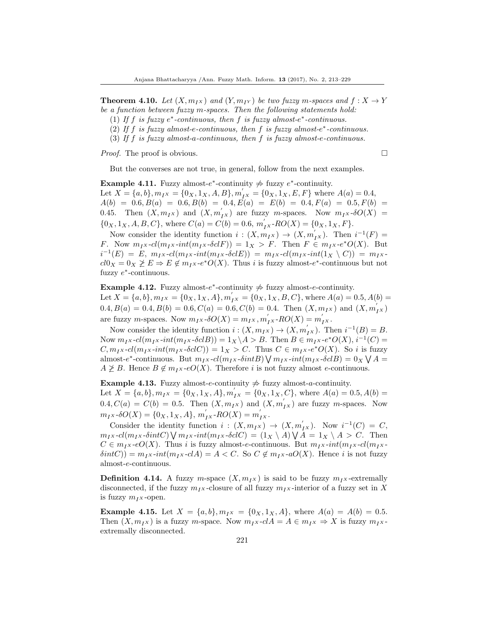**Theorem 4.10.** Let  $(X, m_{IX})$  and  $(Y, m_{IY})$  be two fuzzy m-spaces and  $f: X \rightarrow Y$ be a function between fuzzy m-spaces. Then the following statements hold:

- (1) If  $f$  is fuzzy  $e^*$ -continuous, then  $f$  is fuzzy almost- $e^*$ -continuous.
- (2) If  $f$  is fuzzy almost-e-continuous, then  $f$  is fuzzy almost-e\*-continuous.
- (3) If f is fuzzy almost-a-continuous, then f is fuzzy almost-e-continuous.

*Proof.* The proof is obvious.  $\square$ 

But the converses are not true, in general, follow from the next examples.

Example 4.11. Fuzzy almost- $e^*$ -continuity  $\neq$  fuzzy  $e^*$ -continuity. Let  $X = \{a, b\}, m_I x = \{0_X, 1_X, A, B\}, m_I' x = \{0_X, 1_X, E, F\}$  where  $A(a) = 0.4$ ,  $A(b) = 0.6, B(a) = 0.6, B(b) = 0.4, E(a) = E(b) = 0.4, F(a) = 0.5, F(b) =$ 0.45. Then  $(X, m_I_X)$  and  $(X, m_{IX}^{'})$  are fuzzy m-spaces. Now  $m_Ix \cdot \delta O(X)$  =  $\{0_X, 1_X, A, B, C\}$ , where  $C(a) = C(b) = 0.6$ ,  $m'_{IX}$ - $RO(X) = \{0_X, 1_X, F\}$ .

Now consider the identity function  $i : (X, m_{IX}) \to (X, m'_{IX})$ . Then  $i^{-1}(F) =$ F. Now  $m_Ix$ - $cl(m_Ix$ - $int(m_Ix$ - $\delta clF)$ ) = 1 $_X > F$ . Then  $F \in m_Ix$ - $e^*O(X)$ . But  $i^{-1}(E) = E$ ,  $m_I x$ - $cl(m_I x$ - $int(m_I x$ - $\delta cl E)$ ) =  $m_I x$ - $cl(m_I x$ - $int(1_X \setminus C))$  =  $m_I x$  $cl0_X = 0_X \not\geq E \Rightarrow E \not\in m_I x \cdot e^* O(X)$ . Thus *i* is fuzzy almost- $e^*$ -continuous but not fuzzy  $e^*$ -continuous.

# Example 4.12. Fuzzy almost- $e^*$ -continuity  $\neq$  fuzzy almost-e-continuity. Let  $X = \{a, b\}, m_{IX} = \{0_X, 1_X, A\}, m'_{IX} = \{0_X, 1_X, B, C\}$ , where  $A(a) = 0.5, A(b) =$  $0.4, B(a) = 0.4, B(b) = 0.6, C(a) = 0.6, C(b) = 0.4.$  Then  $(X, m_{I^X})$  and  $(X, m'_{I^X})$ are fuzzy *m*-spaces. Now  $m_{I}x \cdot \delta O(X) = m_{I}x, m'_{I}x \cdot RO(X) = m'_{I}x$ .

Now consider the identity function  $i : (X, m_I_X) \to (X, m_I')$ . Then  $i^{-1}(B) = B$ . Now  $m_{I}x$ - $cl(m_{I}x\text{-}int(m_{I}x\text{-}\delta clB)) = 1_X \backslash A > B$ . Then  $B \in m_{I}x\text{-}e^*O(X), i^{-1}(C) =$  $C, m_Ix\text{-}cl(m_Ix\text{-}int(m_Ix\text{-}\delta clC)) = 1_X > C.$  Thus  $C \in m_Ix\text{-}e^*O(X)$ . So i is fuzzy almost-e<sup>\*</sup>-continuous. But  $m_I x$ - $cl(m_I x \text{-} \delta int B) \bigvee m_I x \text{-} int(m_I x \text{-} \delta cl B) = 0_X \bigvee A$  $A \not\geq B$ . Hence  $B \notin m_I x$ -e $O(X)$ . Therefore i is not fuzzy almost e-continuous.

Example 4.13. Fuzzy almost-e-continuity  $\frac{1}{\sqrt{2}}$  fuzzy almost-a-continuity. Let  $X = \{a, b\}, m_I x = \{0_X, 1_X, A\}, m_I' x = \{0_X, 1_X, C\}$ , where  $A(a) = 0.5, A(b) =$  $0.4, C(a) = C(b) = 0.5$ . Then  $(X, m_{I^X})$  and  $(X, m'_{I^X})$  are fuzzy *m*-spaces. Now  $m_{I}x\text{-}\delta O(X) = \{0_X, 1_X, A\}, m'_{I}x\text{-}RO(X) = m'_{I}x.$ 

Consider the identity function  $i : (X, m_I x) \to (X, m_I^{'} x)$ . Now  $i^{-1}(C) = C$ ,  $m_{I}x$ - $cl(m_{I}x$ - $\delta intC)$   $\bigvee m_{I}x$ - $int(m_{I}x$ - $\delta clC) = (1_X \setminus A)$   $\bigvee A = 1_X \setminus A > C$ . Then  $C \in m_I x \text{-}eO(X)$ . Thus i is fuzzy almost-e-continuous. But  $m_I x \text{-}int(m_I x \text{-}cl(m_I x \text{-}l))$  $\delta intC$ )) =  $m_I x$ -int $(m_I x$ -clA) = A < C. So  $C \notin m_I x$ -aO(X). Hence i is not fuzzy almost-e-continuous.

**Definition 4.14.** A fuzzy m-space  $(X, m_N)$  is said to be fuzzy  $m_N$ -extremally disconnected, if the fuzzy  $m_{IX}$ -closure of all fuzzy  $m_{IX}$ -interior of a fuzzy set in X is fuzzy  $m_I x$ -open.

<span id="page-8-0"></span>**Example 4.15.** Let  $X = \{a, b\}, m_{IX} = \{0_X, 1_X, A\}$ , where  $A(a) = A(b) = 0.5$ . Then  $(X, m_Ix)$  is a fuzzy m-space. Now  $m_Ix$ -cl $A = A \in m_Ix \Rightarrow X$  is fuzzy  $m_Ix$ extremally disconnected.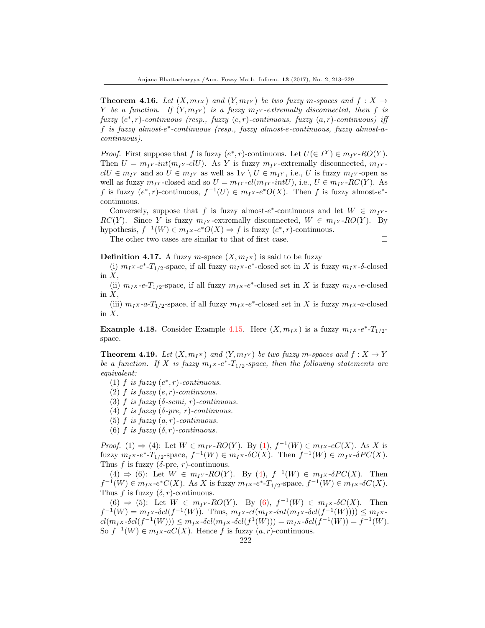**Theorem 4.16.** Let  $(X, m_{IX})$  and  $(Y, m_{IY})$  be two fuzzy m-spaces and  $f : X \rightarrow Y$ Y be a function. If  $(Y, m_I Y)$  is a fuzzy  $m_I Y$ -extremally disconnected, then f is  $fuzzy(e^*, r)$ -continuous (resp., fuzzy  $(e, r)$ -continuous, fuzzy  $(a, r)$ -continuous) iff f is fuzzy almost-e ∗ -continuous (resp., fuzzy almost-e-continuous, fuzzy almost-acontinuous).

*Proof.* First suppose that f is fuzzy  $(e^*, r)$ -continuous. Let  $U(\in I^Y) \in m_{I^Y}$ -RO(Y). Then  $U = m_I v \cdot int(m_I v \cdot clU)$ . As Y is fuzzy  $m_I v$ -extremally disconnected,  $m_I v$  $clU \in m_{IY}$  and so  $U \in m_{IY}$  as well as  $1_Y \setminus U \in m_{IY}$ , i.e., U is fuzzy  $m_{IY}$ -open as well as fuzzy  $m_{IY}$ -closed and so  $U = m_{IY}$ -cl( $m_{IY}$ -intU), i.e.,  $U \in m_{IY}$ -RC(Y). As f is fuzzy  $(e^*, r)$ -continuous,  $f^{-1}(U) \in m_I x \cdot e^* O(X)$ . Then f is fuzzy almost- $e^*$ continuous.

Conversely, suppose that f is fuzzy almost- $e^*$ -continuous and let  $W \in m_{I}$ .  $RC(Y)$ . Since Y is fuzzy  $m_1y$ -extremally disconnected,  $W \in m_1y$ -RO(Y). By hypothesis,  $f^{-1}(W) \in m_I x \text{-} e^* O(X) \Rightarrow f$  is fuzzy  $(e^*, r)$ -continuous.

The other two cases are similar to that of first case.  $\Box$ 

**Definition 4.17.** A fuzzy m-space  $(X, m_I x)$  is said to be fuzzy

(i)  $m_I x$ -e<sup>\*</sup>-T<sub>1/2</sub>-space, if all fuzzy  $m_I x$ -e<sup>\*</sup>-closed set in X is fuzzy  $m_I x$ -δ-closed in  $X$ ,

(ii)  $m_I x$ -e-T<sub>1/2</sub>-space, if all fuzzy  $m_I x$ -e<sup>\*</sup>-closed set in X is fuzzy  $m_I x$ -e-closed in  $X$ ,

(iii)  $m_I x$ -a- $T_{1/2}$ -space, if all fuzzy  $m_I x$ -e<sup>\*</sup>-closed set in X is fuzzy  $m_I x$ -a-closed in  $X$ .

**Example 4.18.** Consider Example [4.15.](#page-8-0) Here  $(X, m_Ix)$  is a fuzzy  $m_Ix-e^*$ - $T_{1/2}$ space.

**Theorem 4.19.** Let  $(X, m_{IX})$  and  $(Y, m_{IY})$  be two fuzzy m-spaces and  $f: X \rightarrow Y$ be a function. If X is fuzzy  $m_I x$ -e<sup>\*</sup>-T<sub>1/2</sub>-space, then the following statements are equivalent:

(1)  $f$  is fuzzy  $(e^*, r)$ -continuous.

(2)  $f$  is fuzzy  $(e, r)$ -continuous.

(3) f is fuzzy ( $\delta$ -semi, r)-continuous.

(4) f is fuzzy ( $\delta$ -pre, r)-continuous.

(5) f is fuzzy  $(a, r)$ -continuous.

(6) f is fuzzy  $(\delta, r)$ -continuous.

*Proof.* (1)  $\Rightarrow$  (4): Let  $W \in m_{I} \times RO(Y)$ . By (1),  $f^{-1}(W) \in m_{I} \times \cdot eC(X)$ . As X is fuzzy  $m_I x$ - $e^*$ - $T_{1/2}$ -space,  $f^{-1}(W) \in m_I x$ - $\delta C(X)$ . Then  $f^{-1}(W) \in m_I x$ - $\delta PC(X)$ . Thus f is fuzzy ( $\delta$ -pre, r)-continuous.

(4)  $\Rightarrow$  (6): Let  $W \in m_{I} \times RO(Y)$ . By (4),  $f^{-1}(W) \in m_{I} \times \delta PC(X)$ . Then  $f^{-1}(W) \in m_I x \cdot e^* C(X)$ . As X is fuzzy  $m_I x \cdot e^* \cdot T_{1/2}$ -space,  $f^{-1}(W) \in m_I x \cdot \delta C(X)$ . Thus f is fuzzy  $(\delta, r)$ -continuous.

(6) ⇒ (5): Let  $W \in m_{I} \times RO(Y)$ . By (6),  $f^{-1}(W) \in m_{I} \times \delta C(X)$ . Then  $f^{-1}(W) = m_I x \cdot \delta cl(f^{-1}(W))$ . Thus,  $m_I x \cdot cl(m_I x \cdot int(m_I x \cdot \delta cl(f^{-1}(W)))) \le m_I x \cdot$  $cl(m_I x \cdot \delta cl(f^{-1}(W))) \leq m_I x \cdot \delta cl(m_I x \cdot \delta cl(f^1(W))) = m_I x \cdot \delta cl(f^{-1}(W)) = f^{-1}(W).$ So  $f^{-1}(W) \in m_I x$ -a $C(X)$ . Hence f is fuzzy  $(a, r)$ -continuous.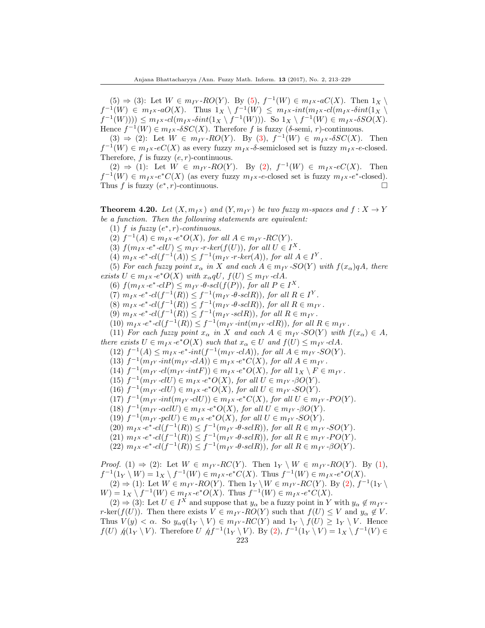$(5) \Rightarrow (3)$ : Let  $W \in m<sub>IY</sub>$ -RO(Y). By (5),  $f^{-1}(W) \in m<sub>IX</sub>$ -aC(X). Then  $1_X \setminus$  $f^{-1}(W) \in m_I \times aO(X)$ . Thus  $1_X \setminus f^{-1}(W) \leq m_I \times \text{int}(m_I \times \text{dim}(1_X \setminus$  $f^{-1}(W))) \leq m_I x \cdot cl(m_I x \cdot \delta int(1_X \setminus f^{-1}(W)))$ . So  $1_X \setminus f^{-1}(W) \in m_I x \cdot \delta SO(X)$ . Hence  $f^{-1}(W) \in m_I x \cdot \delta SC(X)$ . Therefore f is fuzzy ( $\delta$ -semi, r)-continuous.

(3)  $\Rightarrow$  (2): Let  $W \in m_{IY}$ -RO(Y). By (3),  $f^{-1}(W) \in m_{IX}$ -SSC(X). Then  $f^{-1}(W) \in m_I x$ -eC(X) as every fuzzy  $m_I x$ -δ-semiclosed set is fuzzy  $m_I x$ -e-closed. Therefore,  $f$  is fuzzy  $(e, r)$ -continuous.

(2) ⇒ (1): Let  $W \in m_{IY}$ -RO(Y). By (2),  $f^{-1}(W) \in m_{IX}$ -eC(X). Then  $f^{-1}(W) \in m_I x \cdot e^* C(X)$  (as every fuzzy  $m_I x \cdot e$ -closed set is fuzzy  $m_I x \cdot e^*$ -closed). Thus f is fuzzy  $(e^*, r)$ -continuous.

<span id="page-10-0"></span>**Theorem 4.20.** Let  $(X, m_{IX})$  and  $(Y, m_{IY})$  be two fuzzy m-spaces and  $f : X \rightarrow Y$ be a function. Then the following statements are equivalent:

(1)  $f$  is fuzzy  $(e^*, r)$ -continuous.

(2)  $f^{-1}(A) \in m_I x \text{--} e^* O(X)$ , for all  $A \in m_{I'}$ -RC(Y).

(3)  $f(m_Ix-e^*-clU) \leq m_{IY}$ -r-ker $(f(U))$ , for all  $U \in I^X$ .

(4)  $m_I x \cdot e^* \cdot cl(f^{-1}(A)) \leq f^{-1}(m_{IY} \cdot r \cdot ker(A)),$  for all  $A \in I^Y$ .

(5) For each fuzzy point  $x_{\alpha}$  in X and each  $A \in m_{IY}$ -SO(Y) with  $f(x_{\alpha})qA$ , there exists  $U \in m_I x \cdot e^* O(X)$  with  $x_\alpha qU, f(U) \leq m_{I'} \cdot c l A$ .

(6)  $f(m_Ix-e^*-clP) \leq m_Iy \cdot \theta \cdot scl(f(P))$ , for all  $P \in I^X$ .

(7)  $m_I x \cdot e^* \cdot cl(f^{-1}(R)) \leq f^{-1}(m_{IY} \cdot \theta \cdot sclR)$ , for all  $R \in I^Y$ .

(8)  $m_{I}x \cdot e^* \cdot cl(f^{-1}(R)) \leq f^{-1}(m_{IY} \cdot \theta \cdot sclR)$ , for all  $R \in m_{IY}$ .

(9)  $m_{I}x$  -e<sup>\*</sup>-cl( $f^{-1}(R)$ )  $\leq f^{-1}(m_{I}x$  -sclR)), for all  $R \in m_{I}x$ .

(10)  $m_{I}x$ -e<sup>\*</sup>-cl( $f^{-1}(R)$ )  $\leq f^{-1}(m_{I}x \text{-} int(m_{I}x \text{-} c l R))$ , for all  $R \in m_{I}x$ .

(11) For each fuzzy point  $x_{\alpha}$  in X and each  $A \in m_{IY}$ -SO(Y) with  $f(x_{\alpha}) \in A$ ,

there exists  $U \in m_I x \cdot e^* O(X)$  such that  $x_\alpha \in U$  and  $f(U) \leq m_I y \cdot c! A$ .

(12)  $f^{-1}(A) \leq m_I x \cdot e^* \cdot int(f^{-1}(m_{I^Y} \cdot c l A)),$  for all  $A \in m_{I^Y} \cdot SO(Y)$ .

(13)  $f^{-1}(m_{I^Y} \text{-} int(m_{I^Y} \text{-} c l A)) \in m_{I^X} \text{-} e^* C(X)$ , for all  $A \in m_{I^Y}$ .

(14)  $f^{-1}(m_{IY} \text{-}cl(m_{IY} \text{-}intF)) \in m_{IX} \text{-}e^*O(X)$ , for all  $1_X \setminus F \in m_{IY}$ .

(15)  $f^{-1}(m_{IY} \text{-} clU) \in m_{IX} \text{-} e^*O(X)$ , for all  $U \in m_{IY} \text{-} \beta O(Y)$ .

(16)  $f^{-1}(m_{IY} \text{-} clU) \in m_{IX} \text{-} e^*O(X)$ , for all  $U \in m_{IY} \text{-}SO(Y)$ .

(17)  $f^{-1}(m_{IY} \text{-} int(m_{IY} \text{-} clU)) \in m_{IX} \text{-} e^* C(X)$ , for all  $U \in m_{IY} \text{-}PO(Y)$ .

(18)  $f^{-1}(m_{IY} \text{-} \alpha \text{cl} U) \in m_{I^X} \text{-} e^*O(X)$ , for all  $U \in m_{I^Y} \text{-} \beta O(Y)$ .

(19)  $f^{-1}(m_{IY} \text{-} pclU) \in m_{I^X} \text{-} e^*O(X)$ , for all  $U \in m_{I^Y} \text{-}SO(Y)$ .

(20)  $m_{I}x$ -e<sup>\*</sup>-cl( $f^{-1}(R)$ )  $\leq f^{-1}(m_{I}y \cdot \theta$ -sclR)), for all  $R \in m_{I}y$ -SO(Y).

(21)  $m_{I}x$ -e<sup>\*</sup>-cl( $f^{-1}(R)$ )  $\leq f^{-1}(m_{I}y \cdot \theta$ -scl $R$ )), for all  $R \in m_{I}y \cdot PO(Y)$ .

(22)  $m_{I^X} \text{-} e^* \text{-} cl(f^{-1}(R)) \leq f^{-1}(m_{I^Y} \text{-} \theta \text{-} scl R)$ , for all  $R \in m_{I^Y} \text{-} \beta O(Y)$ .

*Proof.* (1)  $\Rightarrow$  (2): Let  $W \in m_{IY}$ -RC(Y). Then  $1_Y \setminus W \in m_{IY}$ -RO(Y). By (1),  $f^{-1}(1_Y \setminus W) = 1_X \setminus f^{-1}(W) \in m_I x \cdot e^* C(X)$ . Thus  $f^{-1}(W) \in m_I x \cdot e^* O(X)$ .  $(2) \Rightarrow (1)$ : Let  $W \in m_{IY}$ -RO(Y). Then  $1_Y \setminus W \in m_{IY}$ -RC(Y). By  $(2)$ ,  $f^{-1}(1_Y \setminus$  $W) = 1_X \setminus f^{-1}(W) \in m_I x \cdot e^* O(X)$ . Thus  $f^{-1}(W) \in m_I x \cdot e^* C(X)$ .

 $(2) \Rightarrow (3)$ : Let  $U \in I^X$  and suppose that  $y_\alpha$  be a fuzzy point in Y with  $y_\alpha \notin m_{I^Y}$ . r-ker(f(U)). Then there exists  $V \in m_{IY}$ -RO(Y) such that  $f(U) \leq V$  and  $y_{\alpha} \notin V$ . Thus  $V(y) < \alpha$ . So  $y_{\alpha}q(1_Y \setminus V) \in m_{I}r$ -RC(Y) and  $1_Y \setminus f(U) \geq 1_Y \setminus V$ . Hence  $f(U)$   $\oint (1_Y \setminus V)$ . Therefore  $U$   $\oint f^{-1}(1_Y \setminus V)$ . By (2),  $f^{-1}(1_Y \setminus V) = 1_X \setminus f^{-1}(V) \in$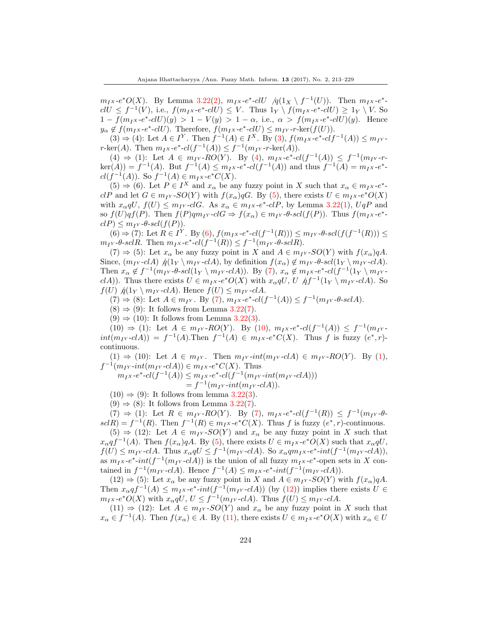$m_Ix\text{-}e^*O(X)$ . By Lemma [3.22\(](#page-4-0)2),  $m_Ix\text{-}e^*\text{-}clU$  / $q(1_X \setminus f^{-1}(U))$ . Then  $m_Ix\text{-}e^*\text{-}$  $clU \leq f^{-1}(V)$ , i.e.,  $f(m_Ix-e^*-clU) \leq V$ . Thus  $1_Y \setminus f(m_Ix-e^*-clU) \geq 1_Y \setminus V$ . So  $1 - f(m_I x - e^* - cI U)(y) > 1 - V(y) > 1 - \alpha$ , i.e.,  $\alpha > f(m_I x - e^* - cI U)(y)$ . Hence  $y_{\alpha} \notin f(m_I x - e^* - clU)$ . Therefore,  $f(m_I x - e^* - clU) \leq m_I x - r - \text{ker}(f(U))$ .

 $(3) \Rightarrow (4)$ : Let  $A \in I^Y$ . Then  $f^{-1}(A) \in I^X$ . By  $(3)$ ,  $f(m_I x - e^* - cIf^{-1}(A)) \le m_I y$ .  $r\text{-ker}(A)$ . Then  $m_Ix\text{-}e^*\text{-}cl(f^{-1}(A)) \leq f^{-1}(m_{I^Y}\text{-}r\text{-}ker(A)).$ 

 $(4) \Rightarrow (1)$ : Let  $A \in m_{IY}$ -RO(Y). By (4),  $m_{IX}$ -e<sup>\*</sup>-cl(f<sup>-1</sup>(A))  $\leq f^{-1}(m_{IY}$ -r- $\ker(A) = f^{-1}(A)$ . But  $f^{-1}(A) \leq m_I x \cdot e^* \cdot cl(f^{-1}(A))$  and thus  $f^{-1}(A) = m_I x \cdot e^*$ .  $cl(f^{-1}(A))$ . So  $f^{-1}(A) \in m_I x \text{-} e^* C(X)$ .

 $(5) \Rightarrow (6)$ . Let  $P \in I^X$  and  $x_\alpha$  be any fuzzy point in X such that  $x_\alpha \in m_I x - e^*$ .  $clP$  and let  $G \in m_{IY}$ -SO(Y) with  $f(x_\alpha)qG$ . By (5), there exists  $U \in m_{IX}$ -e<sup>\*</sup>O(X) with  $x_{\alpha}qU$ ,  $f(U) \le m_{I}y$ -clG. As  $x_{\alpha} \in m_{I}x$ -e<sup>\*</sup>-clP, by Lemma [3.22\(](#page-4-0)1),  $UqP$  and so  $f(U)qf(P)$ . Then  $f(P)qm_{IY} - clG \Rightarrow f(x_{\alpha}) \in m_{IY} - \theta$ -scl $(f(P))$ . Thus  $f(m_{IX} - e^*)$  $clP \leq m_{IY}$ - $\theta$ -scl $(f(P)).$ 

 $(6)$  ⇒ (7): Let  $R ∈ I<sup>Y</sup>$ . By (6),  $f(m<sub>I</sub> x - e<sup>*</sup> - cl(f<sup>-1</sup>(R))) ≤ m<sub>I</sub> x - \theta - scl(f(f<sup>-1</sup>(R))) ≤$  $m_{IY}$ -θ-sclR. Then  $m_{IX}$ -e<sup>\*</sup>-cl( $f^{-1}(R)$ )  $\leq f^{-1}(m_{IY}$ -θ-sclR).

 $(7) \Rightarrow (5)$ : Let  $x_{\alpha}$  be any fuzzy point in X and  $A \in m<sub>I</sub>$  -SO(Y) with  $f(x_{\alpha})qA$ . Since,  $(m_{IY} - cIA)$   $q(1_Y \setminus m_{IY} - cIA)$ , by definition  $f(x_\alpha) \notin m_{IY} - \theta - scl(1_Y \setminus m_{IY} - cIA)$ . Then  $x_{\alpha} \notin f^{-1}(m_{I} \cdot \theta \cdot \text{sol}(1) \setminus m_{I} \cdot \text{cl} A)$ ). By (7),  $x_{\alpha} \notin m_{I} \cdot \text{rel}(f^{-1}(1) \setminus m_{I} \cdot \text{cl} A)$ clA)). Thus there exists  $U \in m_I x$ -e\* $O(X)$  with  $x_\alpha qU$ ,  $U \nleftrightarrow f^{-1}(1_Y \setminus m_{IY}$ -clA). So  $f(U)$   $\phi(1_Y \setminus m_{IY} - c\lambda)$ . Hence  $f(U) \leq m_{IY} - c\lambda$ .

 $(7)$  ⇒ (8): Let  $A \in m_{IY}$ . By (7),  $m_{IX}$ -e<sup>\*</sup>-cl( $f^{-1}(A)$ ) ≤  $f^{-1}(m_{IY}$ -θ-scl $A)$ .

 $(8) \Rightarrow (9)$ : It follows from Lemma [3.22\(](#page-4-0)7).

 $(9) \Rightarrow (10)$ : It follows from Lemma [3.22\(](#page-4-0)3).

 $(10) \Rightarrow (1)$ : Let  $A \in m_{I} \rightarrow RO(Y)$ . By  $(10)$ ,  $m_{I} \rightarrow e^{*} \rightarrow cl(f^{-1}(A)) \leq f^{-1}(m_{I} \rightarrow$  $int(m_{IY} - cIA)) = f^{-1}(A)$ . Then  $f^{-1}(A) \in m_{IX} - e^*C(X)$ . Thus f is fuzzy  $(e^*, r)$ . continuous.

 $(1) \Rightarrow (10)$ : Let  $A \in m_{IY}$ . Then  $m_{IY}$ -int $(m_{IY}$ -cl $A) \in m_{IY}$ -RO(Y). By (1),  $f^{-1}(m_{IY} \text{-} int(m_{IY} \text{-} cl A)) \in m_{IX} \text{-} e^* C(X)$ . Thus

 $m_{I}x - e^* - cl(f^{-1}(A)) \leq m_{I}x - e^* - cl(f^{-1}(m_{IY} - int(m_{IY} - cIA)))$ 

 $= f^{-1}(m_{IY} \text{-} int(m_{IY} \text{-} c l A)).$ 

 $(10) \Rightarrow (9)$ : It follows from lemma [3.22\(](#page-4-0)3).

 $(9) \Rightarrow (8)$ : It follows from Lemma [3.22\(](#page-4-0)7).

 $(7)$  ⇒ (1): Let  $R \in m_{IY}$ - $RO(Y)$ . By (7),  $m_{IX}$ - $e^*$ - $cl(f^{-1}(R)) \leq f^{-1}(m_{IY}$ - $\theta$ - $\text{gcd}(R) = f^{-1}(R)$ . Then  $f^{-1}(R) \in m_I x \cdot e^* C(X)$ . Thus f is fuzzy  $(e^*, r)$ -continuous.

 $(5) \Rightarrow (12)$ : Let  $A \in m<sub>IV</sub>$ -SO(Y) and  $x<sub>\alpha</sub>$  be any fuzzy point in X such that  $x_{\alpha}qf^{-1}(A)$ . Then  $f(x_{\alpha})qA$ . By (5), there exists  $U \in m_I x \cdot e^*O(X)$  such that  $x_{\alpha}qU$ ,  $f(U) \leq m_{IY}$ -clA. Thus  $x_{\alpha}qU \leq f^{-1}(m_{IY}$ -clA). So  $x_{\alpha}qm_{IX}$ -e\*-int $(f^{-1}(m_{IY}$ -clA)), as  $m_I x$ -e<sup>\*</sup>-int(f<sup>-1</sup>( $m_{IY}$ -clA)) is the union of all fuzzy  $m_I x$ -e<sup>\*</sup>-open sets in X contained in  $f^{-1}(m_{IY} - cIA)$ . Hence  $f^{-1}(A) \leq m_{IX} - e^* - int(f^{-1}(m_{IY} - cIA))$ .

 $(12) \Rightarrow (5)$ : Let  $x_{\alpha}$  be any fuzzy point in X and  $A \in m_{IY}$ -SO(Y) with  $f(x_{\alpha})qA$ . Then  $x_\alpha q f^{-1}(A) \leq m_I x \cdot e^* \cdot int(f^{-1}(m_{IY} \cdot cIA))$  (by (12)) implies there exists  $U \in$  $m_{I}x$ -e<sup>\*</sup> $O(X)$  with  $x_{\alpha}qU, U \leq f^{-1}(m_{I}y$ -clA). Thus  $f(U) \leq m_{I}y$ -clA.

 $(11) \Rightarrow (12)$ : Let  $A \in m<sub>IY</sub>$ -SO(Y) and  $x<sub>\alpha</sub>$  be any fuzzy point in X such that  $x_{\alpha} \in f^{-1}(A)$ . Then  $f(x_{\alpha}) \in A$ . By (11), there exists  $U \in m_I x - e^* O(X)$  with  $x_{\alpha} \in U$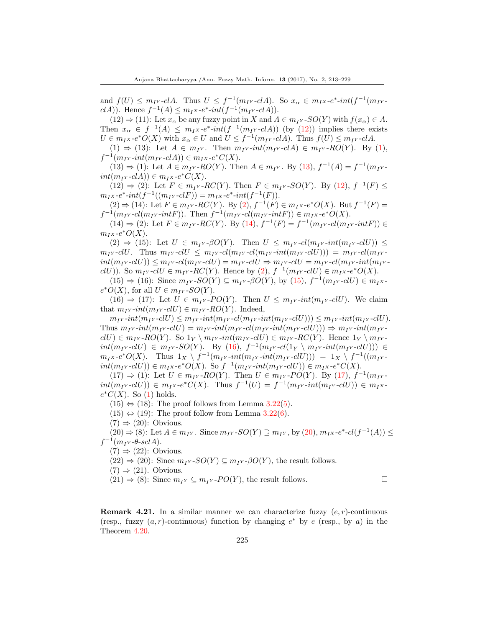and  $f(U) \le m_{IY}$ -clA. Thus  $U \le f^{-1}(m_{IY}$ -clA). So  $x_{\alpha} \in m_{IX}$ -e<sup>\*</sup>-int( $f^{-1}(m_{IY}$ clA)). Hence  $f^{-1}(A) \leq m_I x \cdot e^* \cdot int(f^{-1}(m_I \cdot \text{cl} A)).$ 

 $(12) \Rightarrow (11)$ : Let  $x_\alpha$  be any fuzzy point in X and  $A \in m_{IY}$ -SO(Y) with  $f(x_\alpha) \in A$ . Then  $x_{\alpha} \in f^{-1}(A) \leq m_{I}x-e^{*}\text{-}int(f^{-1}(m_{I}x\text{-}cIA))$  (by (12)) implies there exists  $U \in m_I x \cdot e^* O(X)$  with  $x_\alpha \in U$  and  $U \leq f^{-1}(m_{IY} \cdot cI A)$ . Thus  $f(U) \leq m_{IY} \cdot cI A$ .

(1)  $\Rightarrow$  (13): Let  $A \in m_{IY}$ . Then  $m_{IY} \text{-} int(m_{IY} \text{-} c l A) \in m_{IY} \text{-} RO(Y)$ . By (1),  $f^{-1}(m_{IY}\text{-}int(m_{IY}\text{-}clA)) \in m_{IX}\text{-}e^*C(X).$ 

 $(13) \Rightarrow (1)$ : Let  $A \in m_{I} \rightarrow RO(Y)$ . Then  $A \in m_{I} \rightarrow P$ . By  $(13)$ ,  $f^{-1}(A) = f^{-1}(m_{I} \rightarrow P)$  $int(m_{IY} - cIA)) \in m_{IX} - e^*C(X).$ 

 $(12) \Rightarrow (2)$ : Let  $F \in m_{I}r$ -RC(Y). Then  $F \in m_{I}r$ -SO(Y). By (12),  $f^{-1}(F) \le$  $m_{I}x - e^* \text{-} int(f^{-1}((m_{I}x - cI) = m_{I}x - e^* \text{-} int(f^{-1}(F)).$ 

 $(2) \Rightarrow (14)$ : Let  $F \in m_{IY}$ -RC(Y). By  $(2), f^{-1}(F) \in m_{IX}$ -e\*O(X). But  $f^{-1}(F)$  =  $f^{-1}(m_{IY} \text{-} \text{cl}(m_{IY} \text{-} \text{int}F))$ . Then  $f^{-1}(m_{IY} \text{-} \text{cl}(m_{IY} \text{-} \text{int}F)) \in m_{IX} \text{-}e^*O(X)$ .

 $(14) \Rightarrow (2)$ : Let  $F \in m_{IY}$ -RC(Y). By  $(14)$ ,  $f^{-1}(F) = f^{-1}(m_{IY} - cl(m_{IY} - intF)) \in$  $m_Ix-e^*O(X).$ 

 $(2) \Rightarrow (15)$ : Let  $U \in m_{IY}$ - $\beta O(Y)$ . Then  $U \leq m_{IY}$ - $cl(m_{IY}$ - $int(m_{IY}$ - $clU)$ )  $\leq$  $m_{IY}$ -clU. Thus  $m_{IY}$ -clU  $\leq m_{IY}$ -cl $(m_{IY}$ -cl $(m_{IY}$ -cl $(m_{IY}$ -cl $U))$ ) =  $m_{IY}$ -cl $(m_{IY}$  $int(m_{IV}$ -clU))  $\leq m_{IV}$ -cl $(m_{IV}$ -clU) =  $m_{IV}$ -clU  $\Rightarrow m_{IV}$ -clU =  $m_{IV}$ -cl $(m_{IV}$ -int( $m_{IV}$ clU)). So  $m_{IY}$ -clU  $\in m_{IY}$ -RC(Y). Hence by (2),  $f^{-1}(m_{IY}$ -clU)  $\in m_{IX}$ -e<sup>\*</sup>O(X).

 $(15) \Rightarrow (16)$ : Since  $m_{IY}$ - $SO(Y) \subseteq m_{IY}$ - $\beta O(Y)$ , by  $(15)$ ,  $f^{-1}(m_{IY}$ - $clU) \in m_{IX}$  $e^*O(X)$ , for all  $U \in m_{IY}$ -SO(Y).

 $(16) \Rightarrow (17)$ : Let  $U \in m_{IY}$ -PO(Y). Then  $U \leq m_{IY}$ -int $(m_{IY}$ -clU). We claim that  $m_{IY}$ -int $(m_{IY}$ -clU)  $\in m_{IY}$ -RO(Y). Indeed,

 $m_{IY}$ -int $(m_{IY}$ -clU)  $\leq m_{IY}$ -int $(m_{IY}$ -cl $(m_{IY}$ -clU)))  $\leq m_{IY}$ -int $(m_{IY}$ -clU). Thus  $m_{IV}$ -int $(m_{IV}$ -clU) =  $m_{IV}$ -int $(m_{IV}$ -cl $(m_{IV}$ -int $(m_{IV}$ -clU)))  $\Rightarrow m_{IV}$ -int $(m_{IV}$  $clU \in m_{IY}$ -RO(Y). So  $1_Y \setminus m_{IY}$ -int( $m_{IY}$ -clU)  $\in m_{IY}$ -RC(Y). Hence  $1_Y \setminus m_{IY}$  $int(m_{IY}$ -clU)  $\in$   $m_{IY}$ -SO(Y). By (16),  $f^{-1}(m_{IY}$ -cl(1<sub>Y</sub> \  $m_{IY}$ -int( $m_{IY}$ -clU)))  $\in$  $m_I x \cdot e^* O(X)$ . Thus  $1_X \setminus f^{-1}(m_{IY} \cdot int(m_{IY} \cdot int(m_{IY} \cdot clU))) = 1_X \setminus f^{-1}((m_{IY} \cdot int(m_{IY} \cdot int(m_{IY} \cdot clU)))$  $int(m_{IY} \text{-}clU)) \in m_{IX} \text{-}e^*O(X)$ . So  $f^{-1}(m_{IY} \text{-}int(m_{IY} \text{-}clU)) \in m_{IX} \text{-}e^*C(X)$ .

 $(17) \Rightarrow (1)$ : Let  $U \in m_{IY}$ -RO(Y). Then  $U \in m_{IY}$ -PO(Y). By (17),  $f^{-1}(m_{IY}$  $int(m_{IY}$ -clU))  $\in$   $m_{IX}$ -e<sup>\*</sup>C(X). Thus  $f^{-1}(U) = f^{-1}(m_{IY}$ - $int(m_{IY}$ -clU))  $\in$   $m_{IX}$  $e^*C(X)$ . So (1) holds.

 $(15) \Leftrightarrow (18)$ : The proof follows from Lemma [3.22\(](#page-4-0)5).

 $(15) \Leftrightarrow (19)$ : The proof follow from Lemma [3.22\(](#page-4-0)6).

 $(7) \Rightarrow (20)$ : Obvious.

 $(20) \Rightarrow (8)$ : Let  $A \in m_{IY}$ . Since  $m_{IY}$ -SO(Y)  $\supseteq m_{IY}$ , by  $(20)$ ,  $m_{IX}$ -e<sup>\*</sup>-cl(f<sup>-1</sup>(A))  $\leq$  $f^{-1}(m_{IY} - \theta - \operatorname{scl}A).$ 

 $(7) \Rightarrow (22)$ : Obvious.

 $(22) \Rightarrow (20)$ : Since  $m_{IY}$ - $SO(Y) \subseteq m_{IY}$ - $\beta O(Y)$ , the result follows.

$$
(7) \Rightarrow (21)
$$
. Obvious.

 $(21) \Rightarrow (8)$ : Since  $m_{IY} \subseteq m_{IY}$ -PO(Y), the result follows.

**Remark 4.21.** In a similar manner we can characterize fuzzy  $(e, r)$ -continuous (resp., fuzzy  $(a, r)$ -continuous) function by changing  $e^*$  by  $e$  (resp., by a) in the Theorem [4.20.](#page-10-0)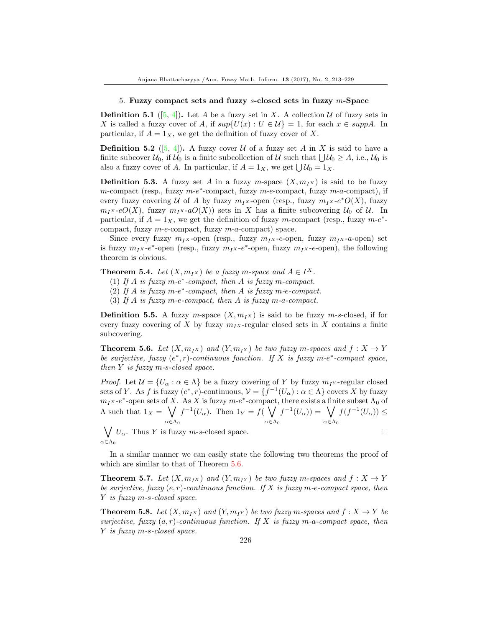#### 5. Fuzzy compact sets and fuzzy s-closed sets in fuzzy m-Space

**Definition 5.1** ([\[5,](#page-16-3) [4\]](#page-16-4)). Let A be a fuzzy set in X. A collection U of fuzzy sets in X is called a fuzzy cover of A, if  $sup{U(x) : U \in U} = 1$ , for each  $x \in supp A$ . In particular, if  $A = 1_X$ , we get the definition of fuzzy cover of X.

**Definition 5.2** ([\[5,](#page-16-3) [4\]](#page-16-4)). A fuzzy cover U of a fuzzy set A in X is said to have a finite subcover  $U_0$ , if  $U_0$  is a finite subcollection of U such that  $\bigcup U_0 \geq A$ , i.e.,  $U_0$  is also a fuzzy cover of A. In particular, if  $A = 1_X$ , we get  $\bigcup \mathcal{U}_0 = 1_X$ .

**Definition 5.3.** A fuzzy set A in a fuzzy m-space  $(X, m<sub>IX</sub>)$  is said to be fuzzy m-compact (resp., fuzzy m-e<sup>\*</sup>-compact, fuzzy m-e-compact, fuzzy m-a-compact), if every fuzzy covering U of A by fuzzy  $m_I x$ -open (resp., fuzzy  $m_I x$ - $e^*O(X)$ , fuzzy  $m_{I}x\text{-}eO(X)$ , fuzzy  $m_{I}x\text{-}aO(X)$  sets in X has a finite subcovering  $U_0$  of U. In particular, if  $A = 1_X$ , we get the definition of fuzzy m-compact (resp., fuzzy  $m-e^*$ compact, fuzzy m-e-compact, fuzzy m-a-compact) space.

Since every fuzzy  $m_{IX}$ -open (resp., fuzzy  $m_{IX}$ -e-open, fuzzy  $m_{IX}$ -a-open) set is fuzzy  $m_I x - e^*$ -open (resp., fuzzy  $m_I x - e^*$ -open, fuzzy  $m_I x - e$ -open), the following theorem is obvious.

**Theorem 5.4.** Let  $(X, m_Ix)$  be a fuzzy m-space and  $A \in I^X$ .

- (1) If  $A$  is fuzzy m-e<sup>\*</sup>-compact, then  $A$  is fuzzy m-compact.
- (2) If  $A$  is fuzzy m-e<sup>\*</sup>-compact, then  $A$  is fuzzy m-e-compact.
- (3) If A is fuzzy m-e-compact, then A is fuzzy m-a-compact.

**Definition 5.5.** A fuzzy m-space  $(X, m<sub>1</sub>)$  is said to be fuzzy m-s-closed, if for every fuzzy covering of X by fuzzy  $m_Ix$ -regular closed sets in X contains a finite subcovering.

<span id="page-13-0"></span>**Theorem 5.6.** Let  $(X, m_{IX})$  and  $(Y, m_{IY})$  be two fuzzy m-spaces and  $f: X \rightarrow Y$ be surjective, fuzzy  $(e^*, r)$ -continuous function. If X is fuzzy m- $e^*$ -compact space, then  $Y$  is fuzzy m-s-closed space.

*Proof.* Let  $\mathcal{U} = \{U_{\alpha} : \alpha \in \Lambda\}$  be a fuzzy covering of Y by fuzzy  $m_{I}$ -regular closed sets of Y. As f is fuzzy  $(e^*, r)$ -continuous,  $\mathcal{V} = \{f^{-1}(U_\alpha) : \alpha \in \Lambda\}$  covers X by fuzzy  $m_I x$ -e<sup>\*</sup>-open sets of X. As X is fuzzy  $m-e$ <sup>\*</sup>-compact, there exists a finite subset  $\Lambda_0$  of  $\Lambda$  such that  $1_X = \sqrt{ }$  $\alpha \in \Lambda_0$  $f^{-1}(U_\alpha)$ . Then  $1_Y = f(\bigvee$  $\alpha \in \Lambda_0$  $f^{-1}(U_\alpha)) = \bigvee$  $\alpha \in \Lambda_0$  $f(f^{-1}(U_{\alpha})) \leq$ 

 $\bigvee U_\alpha$ . Thus Y is fuzzy *m*-s-closed space.  $\alpha \in \Lambda_0$ 

In a similar manner we can easily state the following two theorems the proof of which are similar to that of Theorem [5.6.](#page-13-0)

**Theorem 5.7.** Let  $(X, m_{IX})$  and  $(Y, m_{IY})$  be two fuzzy m-spaces and  $f: X \rightarrow Y$ be surjective, fuzzy  $(e, r)$ -continuous function. If X is fuzzy m-e-compact space, then Y is fuzzy m-s-closed space.

**Theorem 5.8.** Let  $(X, m_{IX})$  and  $(Y, m_{IY})$  be two fuzzy m-spaces and  $f : X \rightarrow Y$  be surjective, fuzzy  $(a, r)$ -continuous function. If X is fuzzy  $m$ -a-compact space, then Y is fuzzy m-s-closed space.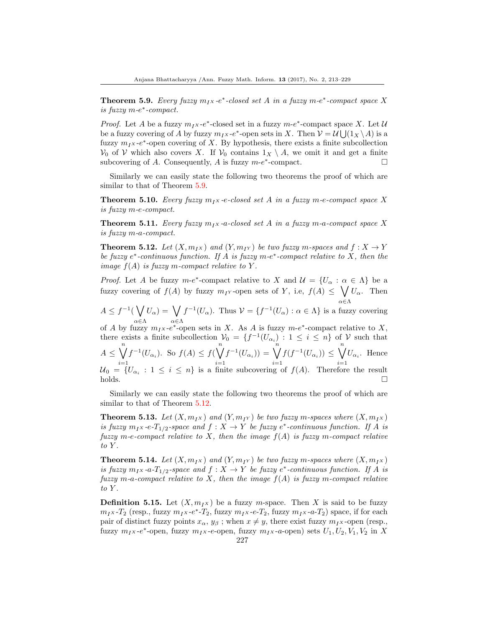<span id="page-14-0"></span>**Theorem 5.9.** Every fuzzy  $m_I x$ -e<sup>\*</sup>-closed set A in a fuzzy  $m$ -e<sup>\*</sup>-compact space X is fuzzy m-e ∗ -compact.

*Proof.* Let A be a fuzzy  $m_I x - e^*$ -closed set in a fuzzy  $m-e^*$ -compact space X. Let U be a fuzzy covering of A by fuzzy  $m_I x - e^*$ -open sets in X. Then  $\mathcal{V} = \mathcal{U} \bigcup (1_X \setminus A)$  is a fuzzy  $m_I x$ -e<sup>\*</sup>-open covering of X. By hypothesis, there exists a finite subcollection  $V_0$  of V which also covers X. If  $V_0$  contains  $1_X \setminus A$ , we omit it and get a finite subcovering of A. Consequently, A is fuzzy  $m-e^*$ -compact.

Similarly we can easily state the following two theorems the proof of which are similar to that of Theorem [5.9.](#page-14-0)

**Theorem 5.10.** Every fuzzy  $m_1x$ -e-closed set A in a fuzzy m-e-compact space X is fuzzy m-e-compact.

**Theorem 5.11.** Every fuzzy  $m_1x$ -a-closed set A in a fuzzy m-a-compact space X is fuzzy m-a-compact.

<span id="page-14-1"></span>**Theorem 5.12.** Let  $(X, m_{IX})$  and  $(Y, m_{IY})$  be two fuzzy m-spaces and  $f : X \to Y$ be fuzzy  $e^*$ -continuous function. If A is fuzzy  $m-e^*$ -compact relative to X, then the image  $f(A)$  is fuzzy m-compact relative to Y.

*Proof.* Let A be fuzzy  $m-e^*$ -compact relative to X and  $\mathcal{U} = \{U_\alpha : \alpha \in \Lambda\}$  be a fuzzy covering of  $f(A)$  by fuzzy  $m_{I}$ -open sets of Y, i.e,  $f(A) \leq \bigvee U_{\alpha}$ . Then α∈Λ

 $A\leq f^{-1}(\bigvee$ α∈Λ  $U_\alpha$ ) =  $\bigvee$ α∈Λ  $f^{-1}(U_{\alpha})$ . Thus  $V = \{f^{-1}(U_{\alpha}) : \alpha \in \Lambda\}$  is a fuzzy covering

of A by fuzzy  $m_I x - e^*$ -open sets in X. As A is fuzzy  $m-e^*$ -compact relative to X, there exists a finite subcollection  $V_0 = \{f^{-1}(U_{\alpha_i}) : 1 \leq i \leq n\}$  of V such that  $A \leq \bigvee^{n}$  $i=1$  $f^{-1}(U_{\alpha_i})$ . So  $f(A) \leq f(\bigvee^n)$  $i=1$  $f^{-1}(U_{\alpha_i})) = \bigvee^n$  $i=1$  $f(f^{-1}(U_{\alpha_i})) \leq \bigvee^n$  $i=1$  $U_{\alpha_i}$ . Hence  $\mathcal{U}_0 = \{U_{\alpha_i} : 1 \leq i \leq n\}$  is a finite subcovering of  $f(A)$ . Therefore the result  $holds.$ 

Similarly we can easily state the following two theorems the proof of which are similar to that of Theorem [5.12.](#page-14-1)

**Theorem 5.13.** Let  $(X, m_Ix)$  and  $(Y, m_{I}y)$  be two fuzzy m-spaces where  $(X, m_{I}x)$ is fuzzy  $m_I x - e^{-T_{1/2}}$ -space and  $f : X \to Y$  be fuzzy  $e^*$ -continuous function. If A is fuzzy m-e-compact relative to X, then the image  $f(A)$  is fuzzy m-compact relative to  $Y$ .

**Theorem 5.14.** Let  $(X, m_{IX})$  and  $(Y, m_{IY})$  be two fuzzy m-spaces where  $(X, m_{IX})$ is fuzzy  $m_I \times a \cdot T_{1/2}$ -space and  $f: X \to Y$  be fuzzy  $e^*$ -continuous function. If A is fuzzy m-a-compact relative to X, then the image  $f(A)$  is fuzzy m-compact relative to Y.

**Definition 5.15.** Let  $(X, m_{IX})$  be a fuzzy m-space. Then X is said to be fuzzy  $m_I x$ - $T_2$  (resp., fuzzy  $m_I x$ - $e^*$ - $T_2$ , fuzzy  $m_I x$ - $e$ - $T_2$ , fuzzy  $m_I x$ - $a$ - $T_2$ ) space, if for each pair of distinct fuzzy points  $x_{\alpha}, y_{\beta}$ ; when  $x \neq y$ , there exist fuzzy  $m_Ix$ -open (resp., fuzzy  $m_I x$ - $e^*$ -open, fuzzy  $m_I x$ - $e$ -open, fuzzy  $m_I x$ - $a$ -open) sets  $U_1, U_2, V_1, V_2$  in X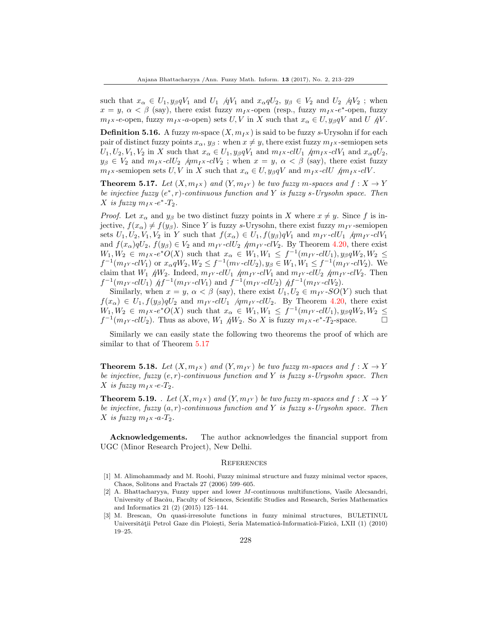such that  $x_{\alpha} \in U_1, y_{\beta}qV_1$  and  $U_1$  /q $V_1$  and  $x_{\alpha}qU_2, y_{\beta} \in V_2$  and  $U_2$  /q $V_2$ ; when  $x = y, \ \alpha < \beta$  (say), there exist fuzzy  $m_I x$ -open (resp., fuzzy  $m_I x$ -e<sup>\*</sup>-open, fuzzy  $m_{IX}$ -e-open, fuzzy  $m_{IX}$ -a-open) sets  $U, V$  in X such that  $x_{\alpha} \in U, y_{\beta}qV$  and  $U/\gamma V$ .

**Definition 5.16.** A fuzzy m-space  $(X, m_N)$  is said to be fuzzy s-Urysohn if for each pair of distinct fuzzy points  $x_{\alpha}$ ,  $y_{\beta}$ : when  $x \neq y$ , there exist fuzzy  $m_I x$ -semiopen sets  $U_1, U_2, V_1, V_2$  in X such that  $x_\alpha \in U_1, y_\beta qV_1$  and  $m_Ix$ -cl $U_1$   $\dim_I x$ -cl $V_1$  and  $x_\alpha qU_2$ ,  $y_{\beta} \in V_2$  and  $m_I x$ -cl $U_2$  /qm<sub>I</sub>x-cl $V_2$ ; when  $x = y$ ,  $\alpha < \beta$  (say), there exist fuzzy  $m_{IX}$ -semiopen sets U, V in X such that  $x_{\alpha} \in U$ ,  $y_{\beta}qV$  and  $m_{IX}$ -clU  $\beta m_{IX}$ -clV.

<span id="page-15-3"></span>**Theorem 5.17.** Let  $(X, m_I_X)$  and  $(Y, m_{I_Y})$  be two fuzzy m-spaces and  $f : X \to Y$ be injective fuzzy  $(e^*, r)$ -continuous function and Y is fuzzy s-Urysohn space. Then X is fuzzy  $m_I x -e^* - T_2$ .

*Proof.* Let  $x_{\alpha}$  and  $y_{\beta}$  be two distinct fuzzy points in X where  $x \neq y$ . Since f is injective,  $f(x_\alpha) \neq f(y_\beta)$ . Since Y is fuzzy s-Urysohn, there exist fuzzy  $m_I$  -semiopen sets  $U_1, U_2, V_1, V_2$  in Y such that  $f(x_\alpha) \in U_1, f(y_\beta)qV_1$  and  $m_{IY}$ -cl $U_1$  /qm<sub>I</sub><sub>Y</sub>-cl $V_1$ and  $f(x_{\alpha})qU_2$ ,  $f(y_{\beta}) \in V_2$  and  $m_1 \in U_2$   $\text{dim}_1 \in V_2$ . By Theorem [4.20,](#page-10-0) there exist  $W_1, W_2 \in m_I \times e^*O(X)$  such that  $x_\alpha \in W_1, W_1 \leq f^{-1}(m_{I} \times \text{cl} U_1), y_\beta q W_2, W_2 \leq$  $f^{-1}(m_{IY} \text{-} cl V_1)$  or  $x_{\alpha} q W_2, W_2 \leq f^{-1}(m_{Y} \text{-} cl U_2), y_{\beta} \in W_1, W_1 \leq f^{-1}(m_{IY} \text{-} cl V_2)$ . We claim that  $W_1$   $\acute{q}W_2$ . Indeed,  $m_{IY}$ -cl $U_1$   $\acute{q}m_{IY}$ -cl $V_1$  and  $m_{IY}$ -cl $U_2$   $\acute{q}m_{IY}$ -cl $V_2$ . Then  $f^{-1}(m_{IY} \text{-} cl U_1)$   $\dot{A} f^{-1}(m_{IY} \text{-} cl V_1)$  and  $f^{-1}(m_{IY} \text{-} cl U_2)$   $\dot{A} f^{-1}(m_{IY} \text{-} cl V_2)$ .

Similarly, when  $x = y$ ,  $\alpha < \beta$  (say), there exist  $U_1, U_2 \in m_I Y$ -SO(Y) such that  $f(x_{\alpha}) \in U_1, f(y_{\beta})qU_2$  and  $m_1 \sim \frac{c}{U_1}$  /qm<sub>I</sub><sub>Y</sub>-clU<sub>2</sub>. By Theorem [4.20,](#page-10-0) there exist  $W_1, W_2 \in m_I \times e^*O(X)$  such that  $x_\alpha \in W_1, W_1 \leq f^{-1}(m_{I} \times \text{cl} U_1), y_\beta q W_2, W_2 \leq$  $f^{-1}(m_1 \cdot \text{cl} U_2)$ . Thus as above,  $W_1$   $\partial W_2$ . So X is fuzzy  $m_1 \cdot \text{se}^*$ -T<sub>2</sub>-space.  $\Box$ 

Similarly we can easily state the following two theorems the proof of which are similar to that of Theorem [5.17](#page-15-3)

**Theorem 5.18.** Let  $(X, m_{IX})$  and  $(Y, m_{IY})$  be two fuzzy m-spaces and  $f: X \rightarrow Y$ be injective, fuzzy  $(e, r)$ -continuous function and Y is fuzzy s-Urysohn space. Then X is fuzzy  $m_Ix - e-T_2$ .

**Theorem 5.19.** . Let  $(X, m_{IX})$  and  $(Y, m_{IY})$  be two fuzzy m-spaces and  $f: X \rightarrow Y$ be injective, fuzzy  $(a, r)$ -continuous function and Y is fuzzy s-Urysohn space. Then X is fuzzy  $m_I x$ -a- $T_2$ .

Acknowledgements. The author acknowledges the financial support from UGC (Minor Research Project), New Delhi.

#### **REFERENCES**

- <span id="page-15-0"></span>[1] M. Alimohammady and M. Roohi, Fuzzy minimal structure and fuzzy minimal vector spaces, Chaos, Solitons and Fractals 27 (2006) 599–605.
- <span id="page-15-2"></span>[2] A. Bhattacharyya, Fuzzy upper and lower M-continuous multifunctions, Vasile Alecsandri, University of Bacău, Faculty of Sciences, Scientific Studies and Research, Series Mathematics and Informatics 21 (2) (2015) 125–144.
- <span id="page-15-1"></span>[3] M. Brescan, On quasi-irresolute functions in fuzzy minimal structures, BULETINUL Universității Petrol Gaze din Ploiești, Seria Matematică-Informatică-Fizică, LXII (1) (2010) 19–25.